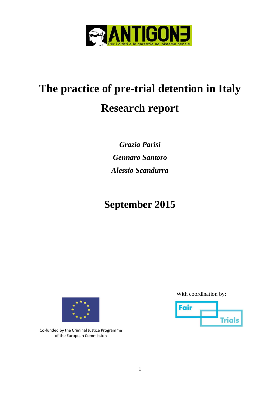

# **The practice of pre-trial detention in Italy Research report**

*Grazia Parisi Gennaro Santoro Alessio Scandurra*

## **September 2015**



Co-funded by the Criminal Justice Programme of the European Commission

With coordination by:

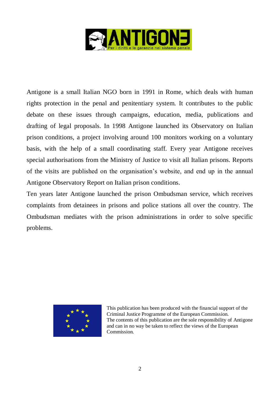

Antigone is a small Italian NGO born in 1991 in Rome, which deals with human rights protection in the penal and penitentiary system. It contributes to the public debate on these issues through campaigns, education, media, publications and drafting of legal proposals. In 1998 Antigone launched its Observatory on Italian prison conditions, a project involving around 100 monitors working on a voluntary basis, with the help of a small coordinating staff. Every year Antigone receives special authorisations from the Ministry of Justice to visit all Italian prisons. Reports of the visits are published on the organisation's website, and end up in the annual Antigone Observatory Report on Italian prison conditions.

Ten years later Antigone launched the prison Ombudsman service, which receives complaints from detainees in prisons and police stations all over the country. The Ombudsman mediates with the prison administrations in order to solve specific problems.



This publication has been produced with the financial support of the Criminal Justice Programme of the European Commission. The contents of this publication are the sole responsibility of Antigone and can in no way be taken to reflect the views of the European Commission.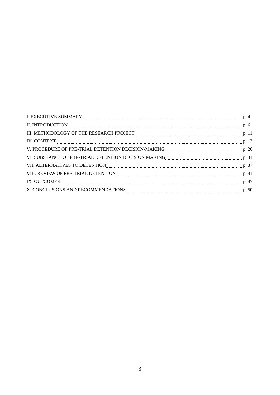| III. METHODOLOGY OF THE RESEARCH PROJECT <b>MACHINE AND THE RESEARCH</b> PROJECT <b>MACHINE AND INCOLLECT AND THE RESEARCH</b> PROJECT <b>MACHINE AND THE RESEARCH</b> PROJECT <b>MACHINE AND THE RESEARCH</b> PROJECT <b>MACHINE AND INCOLLECT AND </b> |  |
|----------------------------------------------------------------------------------------------------------------------------------------------------------------------------------------------------------------------------------------------------------|--|
|                                                                                                                                                                                                                                                          |  |
| V. PROCEDURE OF PRE-TRIAL DETENTION DECISION-MAKING MARING AND ACCORDURED TO 26                                                                                                                                                                          |  |
|                                                                                                                                                                                                                                                          |  |
| VII. ALTERNATIVES TO DETENTION MARIE AND ALTERNATIVES TO DETENTION MARIE ALTERNATIVES TO DETENTION                                                                                                                                                       |  |
| VIII. REVIEW OF PRE-TRIAL DETENTION [100] [2010] [2010] [2010] [2010] [3010] [3010] [3010] [3010] [3010] [3010                                                                                                                                           |  |
| IX. OUTCOMES P. 47                                                                                                                                                                                                                                       |  |
|                                                                                                                                                                                                                                                          |  |
|                                                                                                                                                                                                                                                          |  |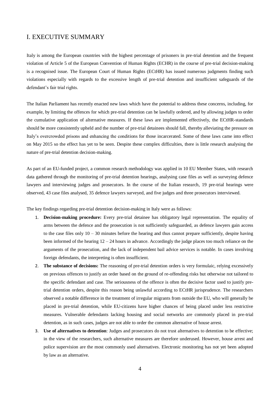## I. EXECUTIVE SUMMARY

Italy is among the European countries with the highest percentage of prisoners in pre-trial detention and the frequent violation of Article 5 of the European Convention of Human Rights (ECHR) in the course of pre-trial decision-making is a recognised issue. The European Court of Human Rights (ECtHR) has issued numerous judgments finding such violations especially with regards to the excessive length of pre-trial detention and insufficient safeguards of the defendant's fair trial rights.

The Italian Parliament has recently enacted new laws which have the potential to address these concerns, including, for example, by limiting the offences for which pre-trial detention can be lawfully ordered, and by allowing judges to order the cumulative application of alternative measures. If these laws are implemented effectively, the ECtHR-standards should be more consistently upheld and the number of pre-trial detainees should fall, thereby alleviating the pressure on Italy's overcrowded prisons and enhancing the conditions for those incarcerated. Some of these laws came into effect on May 2015 so the effect has yet to be seen. Despite these complex difficulties, there is little research analysing the nature of pre-trial detention decision-making.

As part of an EU-funded project, a common research methodology was applied in 10 EU Member States, with research data gathered through the monitoring of pre-trial detention hearings, analysing case files as well as surveying defence lawyers and interviewing judges and prosecutors. In the course of the Italian research, 19 pre-trial hearings were observed, 43 case files analysed, 35 defence lawyers surveyed, and five judges and three prosecutors interviewed.

The key findings regarding pre-trial detention decision-making in Italy were as follows:

- 1. **Decision-making procedure:** Every pre-trial detainee has obligatory legal representation. The equality of arms between the defence and the prosecution is not sufficiently safeguarded, as defence lawyers gain access to the case files only 10 – 30 minutes before the hearing and thus cannot prepare sufficiently, despite having been informed of the hearing 12 – 24 hours in advance. Accordingly the judge places too much reliance on the arguments of the prosecution, and the lack of independent bail advice services is notable. In cases involving foreign defendants, the interpreting is often insufficient.
- 2. **The substance of decisions:** The reasoning of pre-trial detention orders is very formulaic, relying excessively on previous offences to justify an order based on the ground of re-offending risks but otherwise not tailored to the specific defendant and case. The seriousness of the offence is often the decisive factor used to justify pretrial detention orders, despite this reason being unlawful according to ECtHR jurisprudence. The researchers observed a notable difference in the treatment of irregular migrants from outside the EU, who will generally be placed in pre-trial detention, while EU-citizens have higher chances of being placed under less restrictive measures. Vulnerable defendants lacking housing and social networks are commonly placed in pre-trial detention, as in such cases, judges are not able to order the common alternative of house arrest.
- 3. **Use of alternatives to detention**: Judges and prosecutors do not trust alternatives to detention to be effective; in the view of the researchers, such alternative measures are therefore underused. However, house arrest and police supervision are the most commonly used alternatives. Electronic monitoring has not yet been adopted by law as an alternative.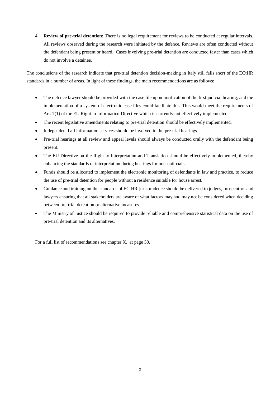4. **Review of pre-trial detention:** There is no legal requirement for reviews to be conducted at regular intervals. All reviews observed during the research were initiated by the defence. Reviews are often conducted without the defendant being present or heard. Cases involving pre-trial detention are conducted faster than cases which do not involve a detainee.

The conclusions of the research indicate that pre-trial detention decision-making in Italy still falls short of the ECtHR standards in a number of areas. In light of these findings, the main recommendations are as follows:

- The defence lawyer should be provided with the case file upon notification of the first judicial hearing, and the implementation of a system of electronic case files could facilitate this. This would meet the requirements of Art. 7(1) of the EU Right to Information Directive which is currently not effectively implemented.
- The recent legislative amendments relating to pre-trial detention should be effectively implemented.
- Independent bail information services should be involved in the pre-trial hearings.
- Pre-trial hearings at all review and appeal levels should always be conducted orally with the defendant being present.
- The EU Directive on the Right to Interpretation and Translation should be effectively implemented, thereby enhancing the standards of interpretation during hearings for non-nationals.
- Funds should be allocated to implement the electronic monitoring of defendants in law and practice, to reduce the use of pre-trial detention for people without a residence suitable for house arrest.
- Guidance and training on the standards of ECtHR-jurisprudence should be delivered to judges, prosecutors and lawyers ensuring that all stakeholders are aware of what factors may and may not be considered when deciding between pre-trial detention or alternative measures.
- The Ministry of Justice should be required to provide reliable and comprehensive statistical data on the use of pre-trial detention and its alternatives.

For a full list of recommendations see chapter X. at page 50.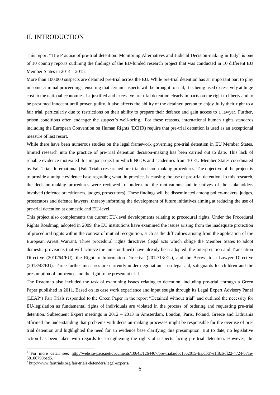## II. INTRODUCTION

This report "The Practice of pre-trial detention: Monitoring Alternatives and Judicial Decision-making in Italy" is one of 10 country reports outlining the findings of the EU-funded research project that was conducted in 10 different EU Member States in 2014 – 2015.

More than 100,000 suspects are detained pre-trial across the EU. While pre-trial detention has an important part to play in some criminal proceedings, ensuring that certain suspects will be brought to trial, it is being used excessively at huge cost to the national economies. Unjustified and excessive pre-trial detention clearly impacts on the right to liberty and to be presumed innocent until proven guilty. It also affects the ability of the detained person to enjoy fully their right to a fair trial, particularly due to restrictions on their ability to prepare their defence and gain access to a lawyer. Further, prison conditions often endanger the suspect's well-being.<sup>1</sup> For these reasons, international human rights standards including the European Convention on Human Rights (ECHR) require that pre-trial detention is used as an exceptional measure of last resort.

While there have been numerous studies on the legal framework governing pre-trial detention in EU Member States, limited research into the practice of pre-trial detention decision-making has been carried out to date. This lack of reliable evidence motivated this major project in which NGOs and academics from 10 EU Member States coordinated by Fair Trials International (Fair Trials) researched pre-trial decision-making procedures. The objective of the project is to provide a unique evidence base regarding what, in practice, is causing the use of pre-trial detention. In this research, the decision-making procedures were reviewed to understand the motivations and incentives of the stakeholders involved (defence practitioners, judges, prosecutors). These findings will be disseminated among policy-makers, judges, prosecutors and defence lawyers, thereby informing the development of future initiatives aiming at reducing the use of pre-trial detention at domestic and EU-level.

This project also complements the current EU-level developments relating to procedural rights. Under the Procedural Rights Roadmap, adopted in 2009, the EU institutions have examined the issues arising from the inadequate protection of procedural rights within the context of mutual recognition, such as the difficulties arising from the application of the European Arrest Warrant. Three procedural rights directives (legal acts which oblige the Member States to adopt domestic provisions that will achieve the aims outlined) have already been adopted: the Interpretation and Translation Directive (2010/64/EU), the Right to Information Directive (2012/13/EU), and the Access to a Lawyer Directive (2013/48/EU). Three further measures are currently under negotiation – on legal aid, safeguards for children and the presumption of innocence and the right to be present at trial.

The Roadmap also included the task of examining issues relating to detention, including pre-trial, through a Green Paper published in 2011. Based on its case work experience and input sought through its Legal Expert Advisory Panel (LEAP<sup>2</sup> ) Fair Trials responded to the Green Paper in the report "Detained without trial" and outlined the necessity for EU-legislation as fundamental rights of individuals are violated in the process of ordering and requesting pre-trial detention. Subsequent Expert meetings in 2012 – 2013 in Amsterdam, London, Paris, Poland, Greece and Lithuania affirmed the understanding that problems with decision-making processes might be responsible for the overuse of pretrial detention and highlighted the need for an evidence base clarifying this presumption. But to date, no legislative action has been taken with regards to strengthening the rights of suspects facing pre-trial detention. However, the

<sup>1</sup> For more detail see: [http://website-pace.net/documents/10643/1264407/pre-trialajdoc1862015-E.pdf/37e1f8c6-ff22-4724-b71e-](http://website-pace.net/documents/10643/1264407/pre-trialajdoc1862015-E.pdf/37e1f8c6-ff22-4724-b71e-58106798bad5)[58106798bad5.](http://website-pace.net/documents/10643/1264407/pre-trialajdoc1862015-E.pdf/37e1f8c6-ff22-4724-b71e-58106798bad5)

<sup>2</sup> [http://www.fairtrials.org/fair-trials-defenders/legal-experts/.](http://www.fairtrials.org/fair-trials-defenders/legal-experts/)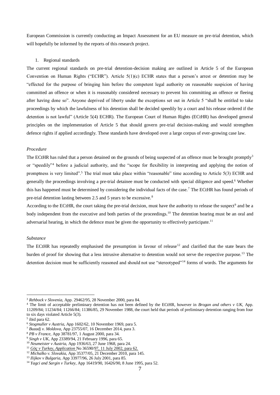European Commission is currently conducting an Impact Assessment for an EU measure on pre-trial detention, which will hopefully be informed by the reports of this research project.

## 1. Regional standards

The current regional standards on pre-trial detention-decision making are outlined in Article 5 of the European Convention on Human Rights ("ECHR"). Article 5(1)(c) ECHR states that a person's arrest or detention may be "effected for the purpose of bringing him before the competent legal authority on reasonable suspicion of having committed an offence or when it is reasonably considered necessary to prevent his committing an offence or fleeing after having done so". Anyone deprived of liberty under the exceptions set out in Article 5 "shall be entitled to take proceedings by which the lawfulness of his detention shall be decided speedily by a court and his release ordered if the detention is not lawful" (Article 5(4) ECHR). The European Court of Human Rights (ECtHR) has developed general principles on the implementation of Article 5 that should govern pre-trial decision-making and would strengthen defence rights if applied accordingly. These standards have developed over a large corpus of ever-growing case law.

## *Procedure*

The ECtHR has ruled that a person detained on the grounds of being suspected of an offence must be brought promptly<sup>3</sup> or "speedily"<sup>4</sup> before a judicial authority, and the "scope for flexibility in interpreting and applying the notion of promptness is very limited".<sup>5</sup> The trial must take place within "reasonable" time according to Article 5(3) ECHR and generally the proceedings involving a pre-trial detainee must be conducted with special diligence and speed.<sup>6</sup> Whether this has happened must be determined by considering the individual facts of the case.<sup>7</sup> The ECtHR has found periods of pre-trial detention lasting between 2.5 and 5 years to be excessive.<sup>8</sup>

According to the ECtHR, the court taking the pre-trial decision, must have the authority to release the suspect<sup>9</sup> and be a body independent from the executive and both parties of the proceedings.<sup>10</sup> The detention hearing must be an oral and adversarial hearing, in which the defence must be given the opportunity to effectively participate.<sup>11</sup>

## *Substance*

The ECtHR has repeatedly emphasised the presumption in favour of release<sup>12</sup> and clarified that the state bears the burden of proof for showing that a less intrusive alternative to detention would not serve the respective purpose.<sup>13</sup> The detention decision must be sufficiently reasoned and should not use "stereotyped"<sup>14</sup> forms of words. The arguments for

<sup>3</sup> *Rehbock v Slovenia*, App. 29462/95, 28 November 2000, para 84.

<sup>4</sup> The limit of acceptable preliminary detention has not been defined by the ECtHR, however in *Brogan and others v UK,* App. 11209/84; 11234/84; 11266/84; 11386/85, 29 November 1988, the court held that periods of preliminary detention ranging from four to six days violated Article 5(3).

<sup>5</sup> ibid para 62.

<sup>6</sup> *Stogmuller v Austria,* App 1602/62, 10 November 1969, para 5.

<sup>7</sup> *Buzadj v. Moldova*, App 23755/07, 16 December 2014, para 3.

<sup>8</sup> *PB v France*, App 38781/97, 1 August 2000, para 34.

<sup>9</sup> *Singh v UK,* App 23389/94, 21 February 1996, para 65.

<sup>10</sup> *Neumeister v Austria,* App 1936/63, 27 June 1968, para 24.

<sup>11</sup> *[Göç](file:///C:/Users/Utente/AppData/Roaming/Microsoft/AppData/Local/Microsoft/casework.intern/AppData/Local/Microsoft/Windows/Temporary%20Internet%20Files/Content.Outlook/GQUKO5NR/Göç) v Turkey, Application* No 36590/97, 11 July 2002, para 62. <sup>12</sup> *Michalko v. Slovakia*, App 35377/05, 21 December 2010, para 145.

<sup>13</sup> *Ilijkov v Bulgaria,* App 33977/96, 26 July 2001, para 85.

<sup>14</sup> *Yagci and Sargin v Turkey,* App 16419/90, 16426/90, 8 June 1995, para 52.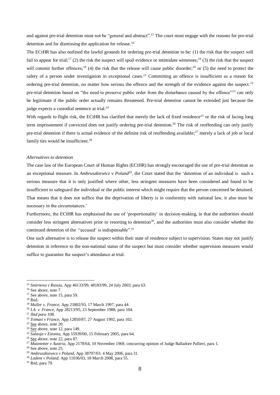and against pre-trial detention must not be "general and abstract".<sup>15</sup> The court must engage with the reasons for pre-trial detention and for dismissing the application for release.<sup>16</sup>

The ECtHR has also outlined the lawful grounds for ordering pre-trial detention to be: (1) the risk that the suspect will fail to appear for trial;<sup>17</sup> (2) the risk the suspect will spoil evidence or intimidate witnesses;<sup>18</sup> (3) the risk that the suspect will commit further offences;<sup>19</sup> (4) the risk that the release will cause public disorder;<sup>20</sup> or (5) the need to protect the safety of a person under investigation in exceptional cases.<sup>21</sup> Committing an offence is insufficient as a reason for ordering pre-trial detention, no matter how serious the offence and the strength of the evidence against the suspect.<sup>22</sup> pre-trial detention based on "the need to preserve public order from the disturbance caused by the offence"<sup>23</sup> can only be legitimate if the public order actually remains threatened. Pre-trial detention cannot be extended just because the judge expects a custodial sentence at trial.<sup>24</sup>

With regards to flight risk, the ECtHR has clarified that merely the lack of fixed residence<sup>25</sup> or the risk of facing long term imprisonment if convicted does not justify ordering pre-trial detention.<sup>26</sup> The risk of reoffending can only justify pre-trial detention if there is actual evidence of the definite risk of reoffending available;<sup>27</sup> merely a lack of job or local family ties would be insufficient.<sup>28</sup>

#### *Alternatives to detention*

The case law of the European Court of Human Rights (ECtHR) has strongly encouraged the use of pre-trial detention as an exceptional measure. In *Ambruszkiewicz v Poland<sup>29</sup>*, the Court stated that the 'detention of an individual is such a serious measure that it is only justified where other, less stringent measures have been considered and found to be insufficient to safeguard the individual or the public interest which might require that the person concerned be detained. That means that it does not suffice that the deprivation of liberty is in conformity with national law, it also must be necessary in the circumstances.'

Furthermore, the ECtHR has emphasised the use of 'proportionality' in decision-making, in that the authorities should consider less stringent alternatives prior to resorting to detention<sup>30</sup>, and the authorities must also consider whether the continued detention of the "accused' is indispensable".<sup>31</sup>

One such alternative is to release the suspect within their state of residence subject to supervision. States may not justify detention in reference to the non-national status of the suspect but must consider whether supervision measures would suffice to guarantee the suspect's attendance at trial.

<sup>15</sup> *Smirnova v Russia*, App 46133/99, 48183/99, 24 July 2003, para 63.

<sup>&</sup>lt;sup>16</sup> See above, note 7.

<sup>&</sup>lt;sup>17</sup> See above, note 15, para 59.

 $^{18}$  Ibid.

<sup>19</sup> *Muller v. France*, App 21802/93, 17 March 1997, para 44.

<sup>20</sup> *I.A. v. France*, App 28213/95, 23 September 1988, para 104.

<sup>21</sup> *Ibid para 108.*

<sup>22</sup> *Tomasi v France,* App 12850/87, 27 August 1992, para 102.

<sup>23</sup> [See](file:///C:/Users/Utente/AppData/Roaming/Microsoft/AppData/Local/Microsoft/casework.intern/AppData/Local/Microsoft/Windows/Temporary%20Internet%20Files/Content.Outlook/GQUKO5NR/See) above, note 20.

 $24 \overline{\text{See}}$  $24 \overline{\text{See}}$  $24 \overline{\text{See}}$  above, note 12, para 149.

<sup>25</sup> *Sulaoja v Estonia,* App 55939/00, 15 February 2005, para 64.

<sup>26</sup> [See](file:///C:/Users/Utente/AppData/Roaming/Microsoft/AppData/Local/Microsoft/casework.intern/AppData/Local/Microsoft/Windows/Temporary%20Internet%20Files/Content.Outlook/GQUKO5NR/See) above, note 22, para 87.

<sup>27</sup> *Matznetter v Austria,* App 2178/64, 10 November 1969, concurring opinion of Judge Balladore Pallieri, para 1.

<sup>28</sup> See above, note 25.

<sup>29</sup> *Ambruszkiewicz v Poland*, App 38797/03. 4 May 2006, para 31.

<sup>30</sup> *Ladent v Poland,* App 11036/03, 18 March 2008, para 55.

<sup>31</sup> Ibid, para 79.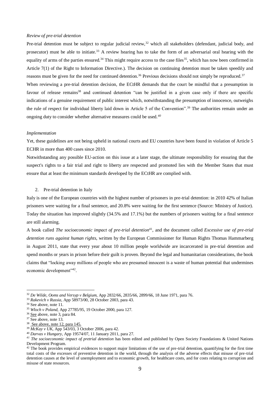## *Review of pre-trial detention*

Pre-trial detention must be subject to regular judicial review,<sup>32</sup> which all stakeholders (defendant, judicial body, and prosecutor) must be able to initiate.<sup>33</sup> A review hearing has to take the form of an adversarial oral hearing with the equality of arms of the parties ensured.<sup>34</sup> This might require access to the case files<sup>35</sup>, which has now been confirmed in Article 7(1) of the Right to Information Directive.). The decision on continuing detention must be taken speedily and reasons must be given for the need for continued detention.<sup>36</sup> Previous decisions should not simply be reproduced.<sup>37</sup> When reviewing a pre-trial detention decision, the ECtHR demands that the court be mindful that a presumption in

favour of release remains<sup>38</sup> and continued detention "can be justified in a given case only if there are specific indications of a genuine requirement of public interest which, notwithstanding the presumption of innocence, outweighs the rule of respect for individual liberty laid down in Article 5 of the Convention".<sup>39</sup> The authorities remain under an ongoing duty to consider whether alternative measures could be used.*<sup>40</sup>*

#### *Implementation*

Yet, these guidelines are not being upheld in national courts and EU countries have been found in violation of Article 5 ECHR in more than 400 cases since 2010.

Notwithstanding any possible EU-action on this issue at a later stage, the ultimate responsibility for ensuring that the suspect's rights to a fair trial and right to liberty are respected and promoted lies with the Member States that must ensure that at least the minimum standards developed by the ECtHR are complied with.

2. Pre-trial detention in Italy

Italy is one of the European countries with the highest number of prisoners in pre-trial detention: in 2010 42% of Italian prisoners were waiting for a final sentence, and 20.8% were waiting for the first sentence (Source: Ministry of Justice). Today the situation has improved slightly (34.5% and 17.1%) but the numbers of prisoners waiting for a final sentence are still alarming.

A book called *The socioeconomic impact of pre-trial detention*<sup>41</sup>, and the document called *Excessive use of pre-trial detention runs against human rights*, written by the European Commissioner for Human Rights Thomas Hammarberg in August 2011, state that every year about 10 million people worldwide are incarcerated in pre-trial detention and spend months or years in prison before their guilt is proven. Beyond the legal and humanitarian considerations, the book claims that "locking away millions of people who are presumed innocent is a waste of human potential that undermines economic development"<sup>42</sup>.

1

<sup>32</sup> *De Wilde, Ooms and Versyp v Belgium,* App 2832/66, 2835/66, 2899/66, 18 June 1971, para 76.

<sup>33</sup> *Rakevich v Russia,* App 58973/00, 28 October 2003, para 43.

<sup>&</sup>lt;sup>34</sup> See above, note 11.

<sup>35</sup> *Wloch v Poland,* App 27785/95, 19 October 2000, para 127.

<sup>36</sup> [See](file:///C:/Users/Utente/AppData/Roaming/Microsoft/AppData/Local/Microsoft/casework.intern/AppData/Local/Microsoft/Windows/Temporary%20Internet%20Files/Content.Outlook/GQUKO5NR/See) above, note 3, para 84.

 $37 \overline{See}$  above, note 13.

<sup>&</sup>lt;sup>38</sup> See above, note 12, para 145.

<sup>39</sup> *McKay v UK,* App 543/03*,* 3 October 2006, para 42.

<sup>40</sup> *Darvas v Hungary,* App 19574/07, 11 January 2011, para 27.

*<sup>41</sup> The socioeconomic impact of pretrial detention* has been edited and published by Open Society Foundations & United Nations Development Program.

 $42$  The book provides empirical evidences to support major limitations of the use of pre-trial detention, quantifying for the first time total costs of the excesses of preventive detention in the world, through the analysis of the adverse effects that misuse of pre-trial detention causes at the level of unemployment and to economic growth, for healthcare costs, and for costs relating to corruption and misuse of state resources.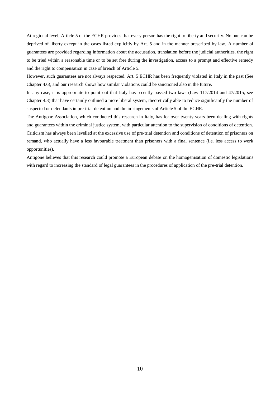At regional level, Article 5 of the ECHR provides that every person has the right to liberty and security. No one can be deprived of liberty except in the cases listed explicitly by Art. 5 and in the manner prescribed by law. A number of guarantees are provided regarding information about the accusation, translation before the judicial authorities, the right to be tried within a reasonable time or to be set free during the investigation, access to a prompt and effective remedy and the right to compensation in case of breach of Article 5.

However, such guarantees are not always respected. Art. 5 ECHR has been frequently violated in Italy in the past (See Chapter 4.6), and our research shows how similar violations could be sanctioned also in the future.

In any case, it is appropriate to point out that Italy has recently passed two laws (Law 117/2014 and 47/2015, see Chapter 4.3) that have certainly outlined a more liberal system, theoretically able to reduce significantly the number of suspected or defendants in pre-trial detention and the infringements of Article 5 of the ECHR.

The Antigone Association, which conducted this research in Italy, has for over twenty years been dealing with rights and guarantees within the criminal justice system, with particular attention to the supervision of conditions of detention. Criticism has always been levelled at the excessive use of pre-trial detention and conditions of detention of prisoners on remand, who actually have a less favourable treatment than prisoners with a final sentence (i.e. less access to work opportunities).

Antigone believes that this research could promote a European debate on the homogenisation of domestic legislations with regard to increasing the standard of legal guarantees in the procedures of application of the pre-trial detention.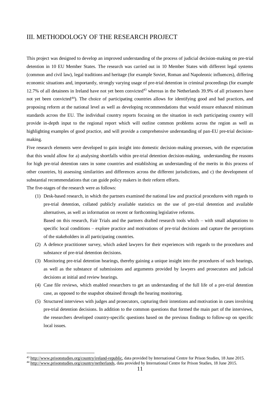## III. METHODOLOGY OF THE RESEARCH PROJECT

This project was designed to develop an improved understanding of the process of judicial decision-making on pre-trial detention in 10 EU Member States. The research was carried out in 10 Member States with different legal systems (common and civil law), legal traditions and heritage (for example Soviet, Roman and Napoleonic influences), differing economic situations and, importantly, strongly varying usage of pre-trial detention in criminal proceedings (for example 12.7% of all detainees in Ireland have not yet been convicted<sup>43</sup> whereas in the Netherlands 39.9% of all prisoners have not yet been convicted<sup>44</sup>). The choice of participating countries allows for identifying good and bad practices, and proposing reform at the national level as well as developing recommendations that would ensure enhanced minimum standards across the EU. The individual country reports focusing on the situation in each participating country will provide in-depth input to the regional report which will outline common problems across the region as well as highlighting examples of good practice, and will provide a comprehensive understanding of pan-EU pre-trial decisionmaking.

Five research elements were developed to gain insight into domestic decision-making processes, with the expectation that this would allow for a) analysing shortfalls within pre-trial detention decision-making, understanding the reasons for high pre-trial detention rates in some countries and establishing an understanding of the merits in this process of other countries, b) assessing similarities and differences across the different jurisdictions, and c) the development of substantial recommendations that can guide policy makers in their reform efforts.

The five-stages of the research were as follows:

1

(1) Desk-based research, in which the partners examined the national law and practical procedures with regards to pre-trial detention, collated publicly available statistics on the use of pre-trial detention and available alternatives, as well as information on recent or forthcoming legislative reforms.

Based on this research, Fair Trials and the partners drafted research tools which – with small adaptations to specific local conditions – explore practice and motivations of pre-trial decisions and capture the perceptions of the stakeholders in all participating countries.

- (2) A defence practitioner survey, which asked lawyers for their experiences with regards to the procedures and substance of pre-trial detention decisions.
- (3) Monitoring pre-trial detention hearings, thereby gaining a unique insight into the procedures of such hearings, as well as the substance of submissions and arguments provided by lawyers and prosecutors and judicial decisions at initial and review hearings.
- (4) Case file reviews, which enabled researchers to get an understanding of the full life of a pre-trial detention case, as opposed to the snapshot obtained through the hearing monitoring.
- (5) Structured interviews with judges and prosecutors, capturing their intentions and motivation in cases involving pre-trial detention decisions. In addition to the common questions that formed the main part of the interviews, the researchers developed country-specific questions based on the previous findings to follow-up on specific local issues.

<sup>43</sup> [http://www.prisonstudies.org/country/ireland-republic,](http://www.prisonstudies.org/country/ireland-republic) data provided by International Centre for Prison Studies, 18 June 2015.

<sup>44</sup> [http://www.prisonstudies.org/country/netherlands,](http://www.prisonstudies.org/country/netherlands) data provided by International Centre for Prison Studies, 18 June 2015.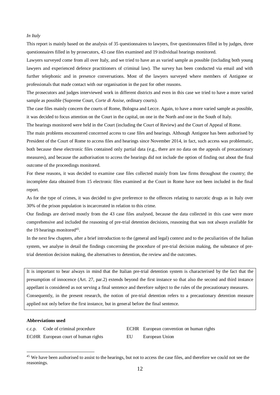## *In Italy*

This report is mainly based on the analysis of 35 questionnaires to lawyers, five questionnaires filled in by judges, three questionnaires filled in by prosecutors, 43 case files examined and 19 individual hearings monitored.

Lawyers surveyed come from all over Italy, and we tried to have an as varied sample as possible (including both young lawyers and experienced defence practitioners of criminal law). The survey has been conducted via email and with further telephonic and in presence conversations. Most of the lawyers surveyed where members of Antigone or professionals that made contact with our organisation in the past for other reasons.

The prosecutors and judges interviewed work in different districts and even in this case we tried to have a more varied sample as possible (Supreme Court, *Corte di Assise*, ordinary courts).

The case files mainly concern the courts of Rome, Bologna and Lecce. Again, to have a more varied sample as possible, it was decided to focus attention on the Court in the capital, on one in the North and one in the South of Italy.

The hearings monitored were held in the Court (including the Court of Review) and the Court of Appeal of Rome.

The main problems encountered concerned access to case files and hearings. Although Antigone has been authorised by President of the Court of Rome to access files and hearings since November 2014, in fact, such access was problematic, both because these electronic files contained only partial data (e.g., there are no data on the appeals of precautionary measures), and because the authorisation to access the hearings did not include the option of finding out about the final outcome of the proceedings monitored.

For these reasons, it was decided to examine case files collected mainly from law firms throughout the country; the incomplete data obtained from 15 electronic files examined at the Court in Rome have not been included in the final report.

As for the type of crimes, it was decided to give preference to the offences relating to narcotic drugs as in Italy over 30% of the prison population is incarcerated in relation to this crime.

Our findings are derived mostly from the 43 case files analysed, because the data collected in this case were more comprehensive and included the reasoning of pre-trial detention decisions, reasoning that was not always available for the 19 hearings monitored<sup>45</sup>.

In the next few chapters, after a brief introduction to the (general and legal) context and to the peculiarities of the Italian system, we analyse in detail the findings concerning the procedure of pre-trial decision making, the substance of pretrial detention decision making, the alternatives to detention, the review and the outcomes.

It is important to bear always in mind that the Italian pre-trial detention system is characterised by the fact that the presumption of innocence (Art. 27, par.2) extends beyond the first instance so that also the second and third instance appellant is considered as not serving a final sentence and therefore subject to the rules of the precautionary measures. Consequently, in the present research, the notion of pre-trial detention refers to a precautionary detention measure applied not only before the first instance, but in general before the final sentence.

## **Abbreviations used**

<u>.</u>

ECtHR European court of human rights EU European Union

c.c.p. Code of criminal procedure ECHR European convention on human rights

<sup>&</sup>lt;sup>45</sup> We have been authorised to assist to the hearings, but not to access the case files, and therefore we could not see the reasonings.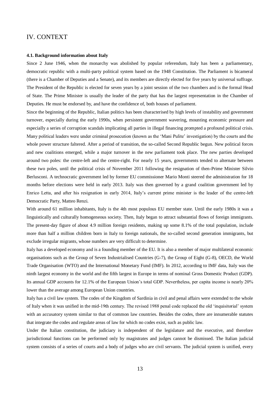## IV. CONTEXT

#### **4.1. Background information about Italy**

Since 2 June 1946, when the monarchy was abolished by popular referendum, Italy has been a parliamentary, democratic republic with a multi-party political system based on the 1948 Constitution. The Parliament is bicameral (there is a Chamber of Deputies and a Senate), and its members are directly elected for five years by universal suffrage. The President of the Republic is elected for seven years by a joint session of the two chambers and is the formal Head of State. The Prime Minister is usually the leader of the party that has the largest representation in the Chamber of Deputies. He must be endorsed by, and have the confidence of, both houses of parliament.

Since the beginning of the Republic, Italian politics has been characterised by high levels of instability and government turnover, especially during the early 1990s, when persistent government wavering, mounting economic pressure and especially a series of corruption scandals implicating all parties in illegal financing prompted a profound political crisis. Many political leaders were under criminal prosecution (known as the 'Mani Pulite' investigation) by the courts and the whole power structure faltered. After a period of transition, the so-called Second Republic begun. New political forces and new coalitions emerged, while a major turnover in the new parliament took place. The new parties developed around two poles: the centre-left and the centre-right. For nearly 15 years, governments tended to alternate between these two poles, until the political crisis of November 2011 following the resignation of then-Prime Minister Silvio Berlusconi. A technocratic government led by former EU commissioner Mario Monti steered the administration for 18 months before elections were held in early 2013. Italy was then governed by a grand coalition government led by Enrico Letta, and after his resignation in early 2014, Italy's current prime minister is the leader of the centre-left Democratic Party, Matteo Renzi.

With around 61 million inhabitants, Italy is the 4th most populous EU member state. Until the early 1980s it was a linguistically and culturally homogeneous society. Then, Italy began to attract substantial flows of foreign immigrants. The present-day figure of about 4.9 million foreign residents, making up some 8.1% of the total population, include more than half a million children born in Italy to foreign nationals, the so-called second generation immigrants, but exclude irregular migrants, whose numbers are very difficult to determine.

Italy has a developed economy and is a founding member of the EU. It is also a member of major multilateral economic organisations such as the Group of Seven Industrialised Countries (G-7), the Group of Eight (G-8), OECD, the World Trade Organisation (WTO) and the International Monetary Fund (IMF). In 2012, according to IMF data, Italy was the ninth largest economy in the world and the fifth largest in Europe in terms of nominal Gross Domestic Product (GDP). Its annual GDP accounts for 12.1% of the European Union's total GDP. Nevertheless, per capita income is nearly 20% lower than the average among European Union countries.

Italy has a civil law system. The codes of the Kingdom of Sardinia in civil and penal affairs were extended to the whole of Italy when it was unified in the mid-19th century. The revised 1988 penal code replaced the old 'inquisitorial' system with an accusatory system similar to that of common law countries. Besides the codes, there are innumerable statutes that integrate the codes and regulate areas of law for which no codes exist, such as public law.

Under the Italian constitution, the judiciary is independent of the legislature and the executive, and therefore jurisdictional functions can be performed only by magistrates and judges cannot be dismissed. The Italian judicial system consists of a series of courts and a body of judges who are civil servants. The judicial system is unified, every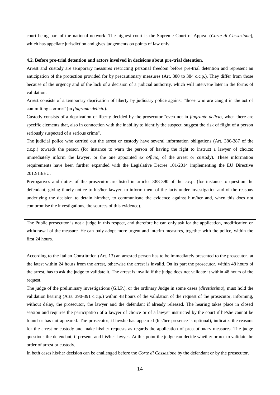court being part of the national network. The highest court is the Supreme Court of Appeal (*Corte di Cassazione*), which has appellate jurisdiction and gives judgements on points of law only.

#### **4.2. Before pre-trial detention and actors involved in decisions about pre-trial detention.**

Arrest and custody are temporary measures restricting personal freedom before pre-trial detention and represent an anticipation of the protection provided for by precautionary measures (Art. 380 to 384 c.c.p.). They differ from those because of the urgency and of the lack of a decision of a judicial authority, which will intervene later in the forms of validation.

Arrest consists of a temporary deprivation of liberty by judiciary police against "those who are caught in the act of committing a crime" (in *flagrante delicto*).

Custody consists of a deprivation of liberty decided by the prosecutor "even not in *flagrante delicto*, when there are specific elements that, also in connection with the inability to identify the suspect, suggest the risk of flight of a person seriously suspected of a serious crime".

The judicial police who carried out the arrest or custody have several information obligations (Art. 386-387 of the c.c.p.) towards the person (for instance to warn the person of having the right to instruct a lawyer of choice; immediately inform the lawyer, or the one appointed *ex officio*, of the arrest or custody). These information requirements have been further expanded with the Legislative Decree 101/2014 implementing the EU Directive 2012/13/EU.

Prerogatives and duties of the prosecutor are listed in articles 388-390 of the c.c.p. (for instance to question the defendant, giving timely notice to his/her lawyer, to inform them of the facts under investigation and of the reasons underlying the decision to detain him/her, to communicate the evidence against him/her and, when this does not compromise the investigations, the sources of this evidence).

The Public prosecutor is not a judge in this respect, and therefore he can only ask for the application, modification or withdrawal of the measure. He can only adopt more urgent and interim measures, together with the police, within the first 24 hours.

According to the Italian Constitution (Art. 13) an arrested person has to be immediately presented to the prosecutor, at the latest within 24 hours from the arrest, otherwise the arrest is invalid. On its part the prosecutor, within 48 hours of the arrest, has to ask the judge to validate it. The arrest is invalid if the judge does not validate it within 48 hours of the request.

The judge of the preliminary investigations (G.I.P.), or the ordinary Judge in some cases (*direttissima*), must hold the validation hearing (Arts. 390-391 c.c.p.) within 48 hours of the validation of the request of the prosecutor, informing, without delay, the prosecutor, the lawyer and the defendant if already released. The hearing takes place in closed session and requires the participation of a lawyer of choice or of a lawyer instructed by the court if he/she cannot be found or has not appeared. The prosecutor, if he/she has appeared (his/her presence is optional), indicates the reasons for the arrest or custody and make his/her requests as regards the application of precautionary measures. The judge questions the defendant, if present, and his/her lawyer. At this point the judge can decide whether or not to validate the order of arrest or custody.

In both cases his/her decision can be challenged before the *Corte di Cassazione* by the defendant or by the prosecutor.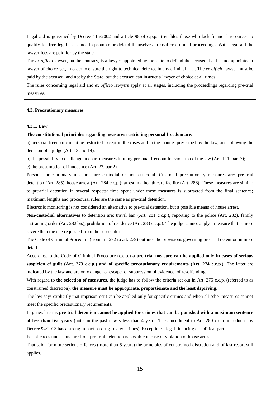Legal aid is governed by Decree 115/2002 and article 98 of c.p.p. It enables those who lack financial resources to qualify for free legal assistance to promote or defend themselves in civil or criminal proceedings. With legal aid the lawyer fees are paid for by the state.

The *ex officio* lawyer, on the contrary, is a lawyer appointed by the state to defend the accused that has not appointed a lawyer of choice yet, in order to ensure the right to technical defence in any criminal trial. The *ex officio* lawyer must be paid by the accused, and not by the State, but the accused can instruct a lawyer of choice at all times.

The rules concerning legal aid and *ex officio* lawyers apply at all stages, including the proceedings regarding pre-trial measures.

## **4.3. Precautionary measures**

## **4.3.1. Law**

#### **The constitutional principles regarding measures restricting personal freedom are:**

a) personal freedom cannot be restricted except in the cases and in the manner prescribed by the law, and following the decision of a judge (Art. 13 and 14);

b) the possibility to challenge in court measures limiting personal freedom for violation of the law (Art. 111, par. 7); c) the presumption of innocence (Art. 27, par.2).

Personal precautionary measures are custodial or non custodial. Custodial precautionary measures are: pre-trial detention (Art. 285), house arrest (Art. 284 c.c.p.); arrest in a health care facility (Art. 286). These measures are similar to pre-trial detention in several respects: time spent under these measures is subtracted from the final sentence; maximum lengths and procedural rules are the same as pre-trial detention.

Electronic monitoring is not considered an alternative to pre-trial detention, but a possible means of house arrest.

**Non-custodial alternatives** to detention are: travel ban (Art. 281 c.c.p.), reporting to the police (Art. 282), family restraining order (Art. 282 bis), prohibition of residence (Art. 283 c.c.p.). The judge cannot apply a measure that is more severe than the one requested from the prosecutor.

The Code of Criminal Procedure (from art. 272 to art. 279) outlines the provisions governing pre-trial detention in more detail.

According to the Code of Criminal Procedure (c.c.p.) **a pre-trial measure can be applied only in cases of serious suspicion of guilt (Art. 273 c.c.p.) and of specific precautionary requirements (Art. 274 c.c.p.).** The latter are indicated by the law and are only danger of escape, of suppression of evidence, of re-offending.

With regard to **the selection of measures**, the judge has to follow the criteria set out in Art. 275 c.c.p. (referred to as constrained discretion): **the measure must be appropriate, proportionate and the least depriving**.

The law says explicitly that imprisonment can be applied only for specific crimes and when all other measures cannot meet the specific precautionary requirements.

In general terms **pre-trial detention cannot be applied for crimes that can be punished with a maximum sentence of less than five years** (note: in the past it was less than 4 years. The amendment to Art. 280 c.c.p. introduced by Decree 94/2013 has a strong impact on drug-related crimes). Exception: illegal financing of political parties.

For offences under this threshold pre-trial detention is possible in case of violation of house arrest.

That said, for more serious offences (more than 5 years) the principles of constrained discretion and of last resort still applies.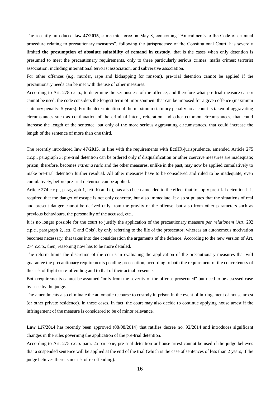The recently introduced **law 47/2015**, came into force on May 8, concerning "Amendments to the Code of criminal procedure relating to precautionary measures", following the jurisprudence of the Constitutional Court, has severely limited **the presumption of absolute suitability of remand in custody**, that is the cases when only detention is presumed to meet the precautionary requirements, only to three particularly serious crimes: mafia crimes; terrorist association, including international terrorist association, and subversive association.

For other offences (e.g. murder, rape and kidnapping for ransom), pre-trial detention cannot be applied if the precautionary needs can be met with the use of other measures.

According to Art. 278 c.c.p., to determine the seriousness of the offence, and therefore what pre-trial measure can or cannot be used, the code considers the longest term of imprisonment that can be imposed for a given offence (maximum statutory penalty: 5 years). For the determination of the maximum statutory penalty no account is taken of aggravating circumstances such as continuation of the criminal intent, reiteration and other common circumstances, that could increase the length of the sentence, but only of the more serious aggravating circumstances, that could increase the length of the sentence of more than one third.

The recently introduced **law 47/2015**, in line with the requirements with EctHR-jurisprudence, amended Article 275 c.c.p., paragraph 3: pre-trial detention can be ordered only if disqualification or other coercive measures are inadequate; prison, therefore, becomes *extrema ratio* and the other measures, unlike in the past, may now be applied cumulatively to make pre-trial detention further residual. All other measures have to be considered and ruled to be inadequate, even cumulatively, before pre-trial detention can be applied.

Article 274 c.c.p., paragraph 1, lett. b) and c), has also been amended to the effect that to apply pre-trial detention it is required that the danger of escape is not only concrete, but also immediate. It also stipulates that the situations of real and present danger cannot be derived only from the gravity of the offense, but also from other parameters such as previous behaviours, the personality of the accused, etc..

It is no longer possible for the court to justify the application of the precautionary measure *per relationem* (Art. 292 c.p.c., paragraph 2, lett. C and Cbis), by only referring to the file of the prosecutor, whereas an autonomous motivation becomes necessary, that takes into due consideration the arguments of the defence. According to the new version of Art. 274 c.c.p., then, reasoning now has to be more detailed.

The reform limits the discretion of the courts in evaluating the application of the precautionary measures that will guarantee the precautionary requirements pending prosecution, according to both the requirement of the concreteness of the risk of flight or re-offending and to that of their actual presence.

Both requirements cannot be assumed "only from the severity of the offense prosecuted" but need to be assessed case by case by the judge.

The amendments also eliminate the automatic recourse to custody in prison in the event of infringement of house arrest (or other private residence). In these cases, in fact, the court may also decide to continue applying house arrest if the infringement of the measure is considered to be of minor relevance.

Law 117/2014 has recently been approved (08/08/2014) that ratifies decree no. 92/2014 and introduces significant changes in the rules governing the application of the pre-trial detention.

According to Art. 275 c.c.p. para. 2a part one, pre-trial detention or house arrest cannot be used if the judge believes that a suspended sentence will be applied at the end of the trial (which is the case of sentences of less than 2 years, if the judge believes there is no risk of re-offending).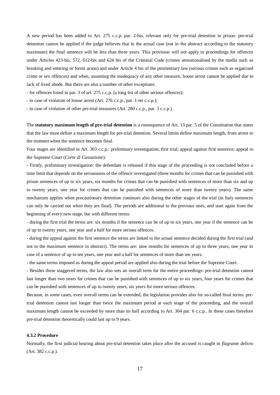A new period has been added to Art. 275 c.c.p. par. 2-bis, relevant only for pre-trial detention in prison: pre-trial detention cannot be applied if the judge believes that in the actual case (not in the abstract according to the statutory maximum) the final sentence will be less than three years. This provision will not apply in proceedings for offences under Articles 423-bis, 572, 612-bis and 624 bis of the Criminal Code (crimes sensationalised by the media such as breaking and entering or forest arson) and under Article 4 bis of the penitentiary law (serious crimes such as organised crime or sex offences) and when, assuming the inadequacy of any other measure, house arrest cannot be applied due to lack of fixed abode. But there are also a number of other exceptions:

- for offences listed in par. 3 of art. 275 c.c.p. (a long list of other serious offences);

- in case of violation of house arrest (Art. 276 c.c.p., par. 1-ter c.c.p.);

- in case of violation of other pre-trial measures (Art. 280 c.c.p., par. 3 c.c.p.).

The **statutory maximum length of pre-trial detention** is a consequence of Art. 13 par. 5 of the Constitution that states that the law must define a maximum length for pre-trial detention. Several limits define maximum length, from arrest to the moment when the sentence becomes final.

Four stages are identified in Art. 303 c.c.p.: preliminary investigation; first trial; appeal against first sentence; appeal to the Supreme Court (*Corte di Cassazione*).

- Firstly, preliminary investigation: the defendant is released if this stage of the proceeding is not concluded before a time limit that depends on the seriousness of the offence investigated (three months for crimes that can be punished with prison sentences of up to six years, six months for crimes that can be punished with sentences of more than six and up to twenty years, one year for crimes that can be punished with sentences of more than twenty years). The same mechanism applies when precautionary detention continues also during the other stages of the trial (in Italy sentences can only be carried out when they are final). The periods are additional to the previous ones, and start again from the beginning of every new stage, but with different terms:

- during the first trial the terms are: six months if the sentence can be of up to six years, one year if the sentence can be of up to twenty years, one year and a half for more serious offences.

- during the appeal against the first sentence the terms are linked to the actual sentence decided during the first trial (and not to the maximum sentence in abstract). The terms are: nine months for sentences of up to three years, one year in case of a sentence of up to ten years, one year and a half for sentences of more than ten years.

- the same terms imposed as during the appeal period are applied also during the trial before the Supreme Court.

- Besides these staggered terms, the law also sets an overall term for the entire proceedings: pre-trial detention cannot last longer than two years for crimes that can be punished with sentences of up to six years, four years for crimes that can be punished with sentences of up to twenty years, six years for more serious offences.

Because, in some cases, even overall terms can be extended, the legislation provides also for so-called final terms: pretrial detention cannot last longer than twice the maximum period at each stage of the proceeding, and the overall maximum length cannot be exceeded by more than its half according to Art. 304 par. 6 c.c.p.. In these cases therefore pre-trial detention theoretically could last up to 9 years.

## **4.3.2 Procedure**

Normally, the first judicial hearing about pre-trial detention takes place after the accused is caught in *flagrante delicto*  (Art. 382 c.c.p.).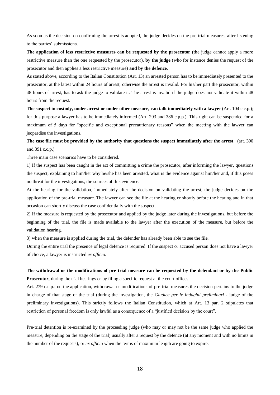As soon as the decision on confirming the arrest is adopted, the judge decides on the pre-trial measures, after listening to the parties' submissions.

**The application of less restrictive measures can be requested by the prosecutor** (the judge cannot apply a more restrictive measure than the one requested by the prosecutor), **by the judge** (who for instance denies the request of the prosecutor and then applies a less restrictive measure) **and by the defence**.

As stated above, according to the Italian Constitution (Art. 13) an arrested person has to be immediately presented to the prosecutor, at the latest within 24 hours of arrest, otherwise the arrest is invalid. For his/her part the prosecutor, within 48 hours of arrest, has to ask the judge to validate it. The arrest is invalid if the judge does not validate it within 48 hours from the request.

**The suspect in custody, under arrest or under other measure, can talk immediately with a lawye**r (Art. 104 c.c.p.); for this purpose a lawyer has to be immediately informed (Art. 293 and 386 c.p.p.). This right can be suspended for a maximum of 5 days for "specific and exceptional precautionary reasons" when the meeting with the lawyer can jeopardise the investigations.

**The case file must be provided by the authority that questions the suspect immediately after the arrest**. (art. 390 and 391 c.c.p.)

Three main case scenarios have to be considered.

1) If the suspect has been caught in the act of committing a crime the prosecutor, after informing the lawyer, questions the suspect, explaining to him/her why he/she has been arrested, what is the evidence against him/her and, if this poses no threat for the investigations, the sources of this evidence.

At the hearing for the validation, immediately after the decision on validating the arrest, the judge decides on the application of the pre-trial measure. The lawyer can see the file at the hearing or shortly before the hearing and in that occasion can shortly discuss the case confidentially with the suspect.

2) If the measure is requested by the prosecutor and applied by the judge later during the investigations, but before the beginning of the trial, the file is made available to the lawyer after the execution of the measure, but before the validation hearing.

3) when the measure is applied during the trial, the defender has already been able to see the file.

During the entire trial the presence of legal defence is required. If the suspect or accused person does not have a lawyer of choice, a lawyer is instructed *ex officio*.

## **The withdrawal or the modifications of pre-trial measure can be requested by the defendant or by the Public Prosecutor,** during the trial hearings or by filing a specific request at the court offices.

Art. 279 c.c.p.: on the application, withdrawal or modifications of pre-trial measures the decision pertains to the judge in charge of that stage of the trial (during the investigation, the *Giudice per le indagini preliminari* - judge of the preliminary investigations). This strictly follows the Italian Constitution, which at Art. 13 par. 2 stipulates that restriction of personal freedom is only lawful as a consequence of a "justified decision by the court".

Pre-trial detention is re-examined by the proceeding judge (who may or may not be the same judge who applied the measure, depending on the stage of the trial) usually after a request by the defence (at any moment and with no limits in the number of the requests), or *ex officio* when the terms of maximum length are going to expire.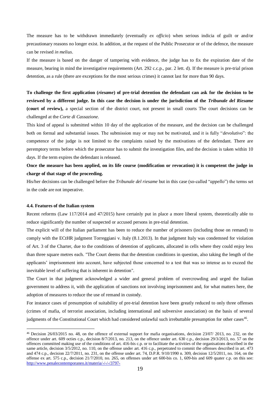The measure has to be withdrawn immediately (eventually *ex officio*) when serious indicia of guilt or and/or precautionary reasons no longer exist. In addition, at the request of the Public Prosecutor or of the defence, the measure can be revised *in melius*.

If the measure is based on the danger of tampering with evidence, the judge has to fix the expiration date of the measure, bearing in mind the investigative requirements (Art. 292 c.c.p., par. 2 lett. d). If the measure is pre-trial prison detention, as a rule (there are exceptions for the most serious crimes) it cannot last for more than 90 days.

**To challenge the first application (***riesame***) of pre-trial detention the defendant can ask for the decision to be reviewed by a different judge. In this case the decision is under the jurisdiction of the** *Tribunale del Riesame* **(court of review),** a special section of the district court, not present in small courts The court decisions can be challenged at the *Corte di Cassazione*.

This kind of appeal is submitted within 10 day of the application of the measure, and the decision can be challenged both on formal and substantial issues. The submission may or may not be motivated, and it is fully "*devolutivo*": the competence of the judge is not limited to the complaints raised by the motivations of the defendant. There are peremptory terms before which the prosecutor has to submit the investigation files, and the decision is taken within 10 days. If the term expires the defendant is released.

## **Once the measure has been applied, on its life course (modification or revocation) it is competent the judge in charge of that stage of the proceeding.**

His/her decisions can be challenged before the *Tribunale del riesame* but in this case (so-called "*appello*") the terms set in the code are not imperative.

#### **4.4. Features of the Italian system**

<u>.</u>

Recent reforms (Law 117/2014 and 47/2015) have certainly put in place a more liberal system, theoretically able to reduce significantly the number of suspected or accused persons in pre-trial detention.

The explicit will of the Italian parliament has been to reduce the number of prisoners (including those on remand) to comply with the ECtHR judgment Torreggiani v. Italy (8.1.2013). In that judgment Italy was condemned for violation of Art. 3 of the Charter, due to the conditions of detention of applicants, allocated in cells where they could enjoy less than three square metres each. "The Court deems that the detention conditions in question, also taking the length of the applicants' imprisonment into account, have subjected those concerned to a test that was so intense as to exceed the inevitable level of suffering that is inherent in detention".

The Court in that judgment acknowledged a wider and general problem of overcrowding and urged the Italian government to address it, with the application of sanctions not involving imprisonment and, for what matters here, the adoption of measures to reduce the use of remand in custody.

For instance cases of presumption of suitability of pre-trial detention have been greatly reduced to only three offenses (crimes of mafia, of terrorist association, including international and subversive association) on the basis of several judgments of the Constitutional Court which had considered unlawful such irrebuttable presumption for other cases<sup>46</sup>.

<sup>46</sup> Decision 26/03/2015 no. 48, on the offence of external support for mafia organisations, decision 23/07/ 2013, no. 232, on the offence under art. 609 octies c.p., decision 8/7/2013, no. 213, on the offence under art. 630 c.p., decision 29/3/2013, no. 57 on the offences committed making use of the conditions of art. 416-bis c.p. or to facilitate the activities of the organisations described in the same article, decision 3/5/2012, no. 110, on the offense under art. 416 c.p., perpetrated to commit the offenses described in art. 473 and 474 c.p., decision 22/7/2011, no. 231, on the offense under art. 74, D.P.R. 9/10/1990 n. 309, decision 12/5/2011, no. 164, on the offense ex art. 575 c.p., decision 21/7/2010, no. 265, on offenses under art 600-bis co. 1, 609-bis and 609 quater c.p. on this see: <http://www.penalecontemporaneo.it/materia/-/-/-/3797->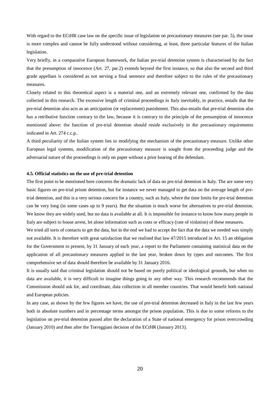With regard to the ECtHR case law on the specific issue of legislation on precautionary measures (see par. 5), the issue is more complex and cannot be fully understood without considering, at least, three particular features of the Italian legislation.

Very briefly, in a comparative European framework, the Italian pre-trial detention system is characterised by the fact that the presumption of innocence (Art. 27, par.2) extends beyond the first instance, so that also the second and third grade appellant is considered as not serving a final sentence and therefore subject to the rules of the precautionary measures.

Closely related to this theoretical aspect is a material one, and an extremely relevant one, confirmed by the data collected in this research. The excessive length of criminal proceedings in Italy inevitably, in practice, entails that the pre-trial detention also acts as an anticipation (or replacement) punishment. This also entails that pre-trial detention also has a retributive function contrary to the law, because it is contrary to the principle of the presumption of innocence mentioned above: the function of pre-trial detention should reside exclusively in the precautionary requirements indicated in Art. 274 c.c.p..

A third peculiarity of the Italian system lies in modifying the mechanism of the precautionary measure. Unlike other European legal systems, modification of the precautionary measure is sought from the proceeding judge and the adversarial nature of the proceedings is only on paper without a prior hearing of the defendant.

#### **4.5. Official statistics on the use of pre-trial detention**

The first point to be mentioned here concerns the dramatic lack of data on pre-trial detention in Italy. The are some very basic figures on pre-trial prison detention, but for instance we never managed to get data on the average length of pretrial detention, and this is a very serious concern for a country, such as Italy, where the time limits for pre-trial detention can be very long (in some cases up to 9 years). But the situation is much worse for alternatives to pre-trial detention. We know they are widely used, but no data is available at all. It is impossible for instance to know how many people in Italy are subject to house arrest, let alone information such as costs or efficacy (rate of violation) of these measures.

We tried all sorts of contacts to get the data, but in the end we had to accept the fact that the data we needed was simply not available. It is therefore with great satisfaction that we realised that law 47/2015 introduced in Art. 15 an obligation for the Government to present, by 31 January of each year, a report to the Parliament containing statistical data on the application of all precautionary measures applied in the last year, broken down by types and outcomes. The first comprehensive set of data should therefore be available by 31 January 2016.

It is usually said that criminal legislation should not be based on purely political or ideological grounds, but when no data are available, it is very difficult to imagine things going in any other way. This research recommends that the Commission should ask for, and coordinate, data collection in all member countries. That would benefit both national and European policies.

In any case, as shown by the few figures we have, the use of pre-trial detention decreased in Italy in the last few years both in absolute numbers and in percentage terms amongst the prison population. This is due to some reforms to the legislation on pre-trial detention passed after the declaration of a State of national emergency for prison overcrowding (January 2010) and then after the Torreggiani decision of the ECtHR (January 2013).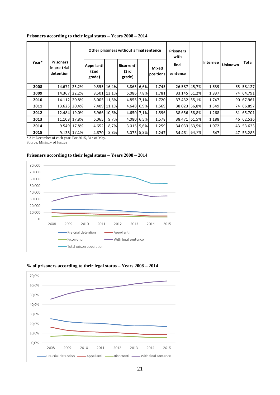|       | Other prisoners without a final sentence      |             |                              |             |                              | <b>Prisoners</b><br>with |                    |                   |                 |                |           |
|-------|-----------------------------------------------|-------------|------------------------------|-------------|------------------------------|--------------------------|--------------------|-------------------|-----------------|----------------|-----------|
| Year* | <b>Prisoners</b><br>in pre-trial<br>detention |             | Appellanti<br>(2nd<br>grade) |             | Ricorrenti<br>(3rd<br>grade) |                          | Mixed<br>positions | final<br>sentence | <b>Internee</b> | <b>Unknown</b> | Total     |
| 2008  | 14.671 25,2%                                  |             |                              | 9.555 16,4% | 3.865 6,6%                   |                          | 1.745              | 26.587 45,7%      | 1.639           |                | 65 58.127 |
| 2009  | 14.367 22,2%                                  |             |                              | 8.501 13,1% | 5.086 7.8%                   |                          | 1.781              | 33.145 51,2%      | 1.837           |                | 74 64.791 |
| 2010  | 14.112 20,8%                                  |             |                              | 8.005 11,8% | 4.855 7.1%                   |                          | 1.720              | 37.432 55,1%      | 1.747           |                | 90 67.961 |
| 2011  | 13.625 20,4%                                  |             |                              | 7.409 11,1% | 4.648 6.9%                   |                          | 1.569              | 38.023 56,8%      | 1.549           |                | 74 66.897 |
| 2012  | 12.484 19,0%                                  |             |                              | 6.966 10.6% | 4.650 7.1%                   |                          | 1.596              | 38.656 58,8%      | 1.268           |                | 81 65.701 |
| 2013  | 11.108 17,8%                                  |             | 6.065                        | 9,7%        | 4.080 6.5%                   |                          | 1.578              | 38.471 61,5%      | 1.188           |                | 46 62.536 |
| 2014  |                                               | 9.549 17,8% | 4.652                        | 8,7%        | 3.015                        | 5,6%                     | 1.259              | 34.033 63,5%      | 1.072           |                | 43 53.623 |
| 2015  |                                               | 9.138 17,1% | 4.670                        | 8,8%        | 3.073 5,8%                   |                          | 1.247              | 34.461 64,7%      | 647             |                | 47 53.283 |

## **Prisoners according to their legal status – Years 2008 – 2014**

\* 31st December of each year. For 2015, 31st of May.

Source: Ministry of Justice

## **Prisoners according to their legal status – Years 2008 – 2014**





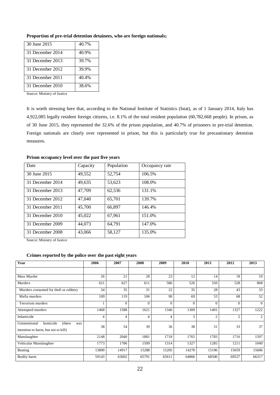| 30 June 2015     | 40.7% |
|------------------|-------|
| 31 December 2014 | 40.9% |
| 31 December 2013 | 39.7% |
| 31 December 2012 | 39.9% |
| 31 December 2011 | 40.4% |
| 31 December 2010 | 38.6% |

## **Proportion of pre-trial detention detainees, who are foreign nationals;**

Source: Ministry of Justice

It is worth stressing here that, according to the National Institute of Statistics (Istat), as of 1 January 2014, Italy has 4,922,085 legally resident foreign citizens, i.e. 8.1% of the total resident population (60,782,668 people). In prison, as of 30 June 2015, they represented the 32.6% of the prison population, and 40.7% of prisoners in pre-trial detention. Foreign nationals are clearly over represented in prison, but this is particularly true for precautionary detention measures.

| Date             | Capacity | Population | Occupancy rate |
|------------------|----------|------------|----------------|
| 30 June 2015     | 49,552   | 52,754     | 106.5%         |
| 31 December 2014 | 49,635   | 53,623     | 108.0%         |
| 31 December 2013 | 47,709   | 62,536     | 131.1%         |
| 31 December 2012 | 47,040   | 65,701     | 139.7%         |
| 31 December 2011 | 45,700   | 66,897     | 146.4%         |
| 31 December 2010 | 45,022   | 67,961     | 151.0%         |
| 31 December 2009 | 44.073   | 64.791     | 147.0%         |
| 31 December 2008 | 43,066   | 58,127     | 135.0%         |

**Prison occupancy level over the past five years**

Source: Ministry of Justice

## **Crimes reported by the police over the past eight years**

| Year                                                                               | 2006           | 2007     | 2008     | 2009           | 2010     | 2011           | 2012           | 2013     |
|------------------------------------------------------------------------------------|----------------|----------|----------|----------------|----------|----------------|----------------|----------|
|                                                                                    |                |          |          |                |          |                |                |          |
| Mass Murder                                                                        | 26             | 21       | 28       | 23             | 12       | 14             | 18             | 10       |
| Murders                                                                            | 621            | 627      | 611      | 586            | 526      | 550            | 528            | 868      |
| Murders consumed for theft or robbery                                              | 34             | 35       | 31       | 22             | 35       | 28             | 43             | 33       |
| Mafia murders                                                                      | 109            | 119      | 106      | 90             | 69       | 53             | 68             | 52       |
| Terrorism murders                                                                  |                | $\Omega$ | $\Omega$ | $\Omega$       | $\theta$ | $\theta$       | $\Omega$       | $\Omega$ |
| Attempted murders                                                                  | 1468           | 1588     | 1621     | 1346           | 1309     | 1401           | 1327           | 1222     |
| Infanticide                                                                        | $\overline{4}$ | 4        | 4        | $\overline{4}$ | 3        | $\overline{2}$ | $\overline{2}$ | 2        |
| homicide<br>(there)<br>Unintentional<br>was<br>intention to harm, but not to kill) | 38             | 54       | 39       | 36             | 38       | 31             | 33             | 37       |
| Manslaughter                                                                       | 2148           | 2040     | 1881     | 1718           | 1765     | 1783           | 1716           | 1597     |
| Vehicular Manslaughter                                                             | 1773           | 1706     | 1509     | 1314           | 1327     | 1285           | 1211           | 1049     |
| Beating                                                                            | 13809          | 14917    | 15288    | 15205          | 14270    | 15196          | 15659          | 15606    |
| Bodily harm                                                                        | 59143          | 63602    | 65791    | 65611          | 64866    | 68500          | 69527          | 66317    |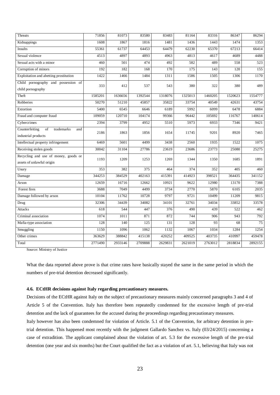| Threats                                                           | 71856   | 81073   | 83580            | 83483   | 81164   | 83316   | 86347   | 86294   |
|-------------------------------------------------------------------|---------|---------|------------------|---------|---------|---------|---------|---------|
| Kidnappings                                                       | 1608    | 1867    | 1816             | 1481    | 1436    | 1443    | 1474    | 1353    |
| Insults                                                           | 55361   | 61737   | 64453            | 64479   | 62230   | 65370   | 67213   | 66414   |
| Sexual violence                                                   | 4513    | 4897    | 4893             | 4963    | 4813    | 4617    | 4689    | 4488    |
| Sexual acts with a minor                                          | 460     | 501     | 474              | 492     | 582     | 489     | 558     | 523     |
| Corruption of minors                                              | 192     | 182     | 168              | 170     | 175     | 143     | 120     | 155     |
| Exploitation and abetting prostitution                            | 1422    | 1466    | 1484             | 1311    | 1586    | 1505    | 1306    | 1170    |
| Child pornography and possession of<br>child pornography          | 333     | 412     | 537              | 543     | 380     | 322     | 380     | 489     |
| Theft                                                             | 1585201 | 1636656 | 1392544          | 1318076 | 1325013 | 1460205 | 1520623 | 1554777 |
| Robberies                                                         | 50270   | 51210   | 45857            | 35822   | 33754   | 40549   | 42631   | 43754   |
| Extortion                                                         | 5400    | 6545    | 6646             | 6189    | 5992    | 6099    | 6478    | 6884    |
| Fraud and computer fraud                                          | 109059  | 120710  | 104174           | 99366   | 96442   | 105692  | 116767  | 140614  |
| Cybercrimes                                                       | 2394    | 3799    | 4952             | 5510    | 5973    | 6933    | 7346    | 9421    |
| Counterfeiting<br>of<br>trademarks<br>and<br>industrial products  | 2186    | 1863    | 1856             | 1654    | 11745   | 9201    | 8920    | 7465    |
| Intellectual property infringement                                | 6469    | 5601    | 4499             | 3438    | 2560    | 1935    | 1522    | 1075    |
| Receiving stolen goods                                            | 30042   | 31104   | 27786            | 23619   | 23686   | 23773   | 25080   | 25275   |
| Recycling and use of money, goods or<br>assets of unlawful origin | 1193    | 1209    | 1253             | 1269    | 1344    | 1350    | 1685    | 1891    |
| Usury                                                             | 353     | 382     | $\overline{375}$ | 464     | 374     | 352     | 405     | 460     |
| Damage                                                            | 344253  | 384529  | 402163           | 415391  | 414923  | 398521  | 364435  | 341152  |
| Arson                                                             | 12659   | 16716   | 12662            | 10921   | 9622    | 12980   | 13170   | 7388    |
| Forest fires                                                      | 3688    | 7049    | 4499             | 3734    | 2770    | 5870    | 6105    | 2035    |
| Damage followed by arson                                          | 10104   | 11762   | 10728            | 9797    | 9721    | 10499   | 11209   | 9815    |
| Drug                                                              | 32306   | 34439   | 34082            | 34101   | 32761   | 34034   | 33852   | 33578   |
| <b>Attacks</b>                                                    | 618     | 544     | 447              | 376     | 490     | 439     | 522     | 462     |
| Criminal association                                              | 1074    | 1011    | 871              | 872     | 744     | 906     | 943     | 792     |
| Mafia-type association                                            | 128     | 140     | 125              | 131     | 128     | 93      | 68      | 75      |
| Smuggling                                                         | 1150    | 1096    | 1062             | 1132    | 1067    | 1034    | 1284    | 1254    |
| Other crimes                                                      | 363629  | 388842  | 415138           | 420252  | 409525  | 403735  | 410997  | 459478  |
| Total                                                             | 2771490 | 2933146 | 2709888          | 2629831 | 2621019 | 2763012 | 2818834 | 2892155 |

Source: Ministry of Justice

What the data reported above prove is that crime rates have basically stayed the same in the same period in which the numbers of pre-trial detention decreased significantly.

## **4.6. ECtHR decisions against Italy regarding precautionary measures.**

Decisions of the ECtHR against Italy on the subject of precautionary measures mainly concerned paragraphs 3 and 4 of Article 5 of the Convention. Italy has therefore been repeatedly condemned for the excessive length of pre-trial detention and the lack of guarantees for the accused during the proceedings regarding precautionary measures.

Italy however has also been condemned for violation of Article. 5.1 of the Convention, for arbitrary detention in pretrial detention. This happened most recently with the judgment Gallardo Sanchez vs. Italy (03/24/2015) concerning a case of extradition. The applicant complained about the violation of art. 5.3 for the excessive length of the pre-trial detention (one year and six months) but the Court qualified the fact as a violation of art. 5.1, believing that Italy was not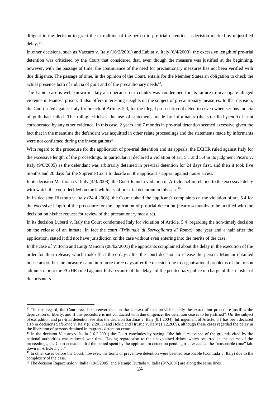diligent in the decision to grant the extradition of the person in pre-trial detention, a decision marked by unjustified  $delays<sup>47</sup>$ .

In other decisions, such as Vaccaro v. Italy (16/2/2001) and Labita v. Italy (6/4/2000), the excessive length of pre-trial detention was criticised by the Court that considered that, even though the measure was justified at the beginning, however, with the passage of time, the continuance of the need for precautionary measures has not been verified with due diligence. The passage of time, in the opinion of the Court, entails for the Member States an obligation to check the actual presence both of indicia of guilt and of the precautionary needs<sup>48</sup>.

The Labita case is well known in Italy also because our country was condemned for its failure to investigate alleged violence in Pianosa prison. It also offers interesting insights on the subject of precautionary measures. In that decision, the Court ruled against Italy for breach of Article. 5.3, for the illegal prosecution of detention even when serious indicia of guilt had failed. The ruling criticises the use of statements made by informants (the so-called *pentiti*) if not corroborated by any other evidence. In this case, 2 years and 7 months in pre-trial detention seemed excessive given the fact that in the meantime the defendant was acquitted in other relate proceedings and the statements made by informants were not confirmed during the investigations<sup>49</sup>.

With regard to the procedure for the application of pre-trial detention and its appeals, the ECtHR ruled against Italy for the excessive length of the proceedings. In particular, it declared a violation of art. 5.1 and 5.4 in its judgment Picaro v. Italy (9/6/2005) as the defendant was arbitrarily detained in pre-trial detention for 24 days first, and then it took five months and 20 days for the Supreme Court to decide on the applicant's appeal against house arrest.

In its decision Marturana v. Italy (4/3/2008), the Court found a violation of Article. 5.4 in relation to the excessive delay with which the court decided on the lawfulness of pre-trial detention in this case<sup>50</sup>.

In its decision Rizzotto v. Italy (24.4.2008), the Court upheld the applicant's complaints on the violation of art. 5.4 for the excessive length of the procedure for the application of pre-trial detention (nearly 4 months to be notified with the decision on his/her request for review of the precautionary measure).

In its decision Luberti v. Italy the Court condemned Italy for violation of Article. 5.4 regarding the non-timely decision on the release of an inmate. In fact the court (*Tribunale di Sorveglianza di Roma*), one year and a half after the application, stated it did not have jurisdiction on the case without even entering into the merits of the case.

In the case of Vittorio and Luigi Mancini (08/02/2001) the applicants complained about the delay in the execution of the order for their release, which took effect three days after the court decision to release the person. Mancini obtained house arrest, but the measure came into force three days after the decision due to organisational problems of the prison administration: the ECtHR ruled against Italy because of the delays of the penitentiary police in charge of the transfer of the prisoners.

<sup>&</sup>lt;sup>47</sup> "In this regard, the Court recalls moreover that, in the context of that provision, only the extradition procedure justifies the deprivation of liberty, and if this procedure is not conducted with due diligence, the detention ceases to be justified". On the subject of extradition and pre-trial detention see also the decision Sardinas v. Italy (8.1.2004). Infringement of Article. 5.1 has been declared also in decisions Saferovic v. Italy (8.2.2011) and Hokic and Hrustic v. Italy (1.12.2009), although these cases regarded the delay in the liberation of persons detained in migrants detention centre.

<sup>&</sup>lt;sup>48</sup> In the decision Vaccaro v. Italia (16.2.2001) the Court concludes by saying: "the initial relevance of the grounds cited by the national authorities was reduced over time. Having regard also to the unexplained delays which occurred in the course of the proceedings, the Court considers that the period spent by the applicant in detention pending trial exceeded the "reasonable time" laid down in Article 5 § 3."

<sup>&</sup>lt;sup>49</sup> In other cases before the Court, however, the terms of preventive detention were deemed reasonable (Contrada v. Italy) due to the complexity of the case.

<sup>&</sup>lt;sup>50</sup> The decision Rapacciuolo v. Italia (19/5/2005) and Naranjo Hurtado v. Italia (3/7/2007) are along the same lines.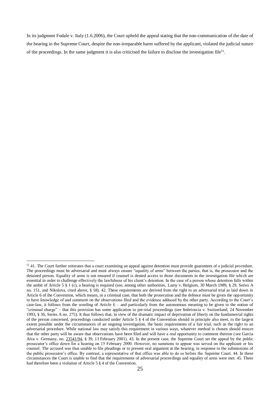In its judgment Fodale v. Italy (1.6.2006), the Court upheld the appeal stating that the non-communication of the date of the hearing in the Supreme Court, despite the non-irreparable harm suffered by the applicant, violated the judicial nature of the proceedings. In the same judgment it is also criticised the failure to disclose the investigation file<sup>51</sup>.

1

 $51$  41. The Court further reiterates that a court examining an appeal against detention must provide guarantees of a judicial procedure. The proceedings must be adversarial and must always ensure "equality of arms" between the parties, that is, the prosecutor and the detained person. Equality of arms is not ensured if counsel is denied access to those documents in the investigation file which are essential in order to challenge effectively the lawfulness of his client's detention. In the case of a person whose detention falls within the ambit of Article 5 § 1 (c), a hearing is required (see, among other authorities, Lamy v. Belgium, 30 March 1989, § 29, Series A no. 151, and Nikolova, cited above, § 58). 42. These requirements are derived from the right to an adversarial trial as laid down in Article 6 of the Convention, which means, in a criminal case, that both the prosecution and the defence must be given the opportunity to have knowledge of and comment on the observations filed and the evidence adduced by the other party. According to the Court's case-law, it follows from the wording of Article 6 – and particularly from the autonomous meaning to be given to the notion of "criminal charge" – that this provision has some application to pre-trial proceedings (see Imbrioscia v. Switzerland, 24 November 1993, § 36, Series A no. 275). It thus follows that, in view of the dramatic impact of deprivation of liberty on the fundamental rights of the person concerned, proceedings conducted under Article 5 § 4 of the Convention should in principle also meet, to the largest extent possible under the circumstances of an ongoing investigation, the basic requirements of a fair trial, such as the right to an adversarial procedure. While national law may satisfy this requirement in various ways, whatever method is chosen should ensure that the other party will be aware that observations have been filed and will have a real opportunity to comment thereon (see Garcia Alva v. Germany, no. [23541/94,](http://hudoc.echr.coe.int/sites/eng/Pages/search.aspx#%7B%22appno%22:[%2223541/94%22]%7D) § 39, 13 February 2001). 43. In the present case, the Supreme Court set the appeal by the public prosecutor's office down for a hearing on 15 February 2000. However, no summons to appear was served on the applicant or his counsel. The accused was thus unable to file pleadings or to present oral argument at the hearing, in response to the submissions of the public prosecutor's office. By contrast, a representative of that office was able to do so before the Supreme Court. 44. In these circumstances the Court is unable to find that the requirements of adversarial proceedings and equality of arms were met. 45. There had therefore been a violation of Article 5 § 4 of the Convention.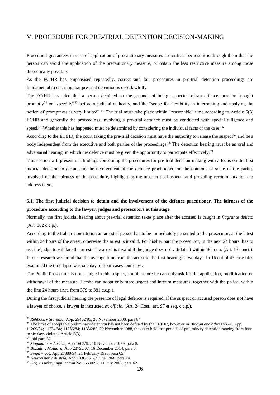## V. PROCEDURE FOR PRE-TRIAL DETENTION DECISION-MAKING

Procedural guarantees in case of application of precautionary measures are critical because it is through them that the person can avoid the application of the precautionary measure, or obtain the less restrictive measure among those theoretically possible.

As the ECtHR has emphasised repeatedly, correct and fair procedures in pre-trial detention proceedings are fundamental to ensuring that pre-trial detention is used lawfully.

The ECtHR has ruled that a person detained on the grounds of being suspected of an offence must be brought promptly<sup>52</sup> or "speedily"<sup>53</sup> before a judicial authority, and the "scope for flexibility in interpreting and applying the notion of promptness is very limited".<sup>54</sup> The trial must take place within "reasonable" time according to Article 5(3) ECHR and generally the proceedings involving a pre-trial detainee must be conducted with special diligence and speed.<sup>55</sup> Whether this has happened must be determined by considering the individual facts of the case.<sup>56</sup>

According to the ECtHR, the court taking the pre-trial decision must have the authority to release the suspect<sup>57</sup> and be a body independent from the executive and both parties of the proceedings.<sup>58</sup> The detention hearing must be an oral and adversarial hearing, in which the defence must be given the opportunity to participate effectively.<sup>59</sup>

This section will present our findings concerning the procedures for pre-trial decision-making with a focus on the first judicial decision to detain and the involvement of the defence practitioner, on the opinions of some of the parties involved on the fairness of the procedure, highlighting the most critical aspects and providing recommendations to address them.

## **5.1. The first judicial decision to detain and the involvement of the defence practitioner. The fairness of the procedure according to the lawyer, judges and prosecutors at this stage**

Normally, the first judicial hearing about pre-trial detention takes place after the accused is caught in *flagrante delicto*  (Art. 382 c.c.p.).

According to the Italian Constitution an arrested person has to be immediately presented to the prosecutor, at the latest within 24 hours of the arrest, otherwise the arrest is invalid. For his/her part the prosecutor, in the next 24 hours, has to ask the judge to validate the arrest. The arrest is invalid if the judge does not validate it within 48 hours (Art. 13 const.). In our research we found that the average time from the arrest to the first hearing is two days. In 16 out of 43 case files examined the time lapse was one day; in four cases four days.

The Public Prosecutor is not a judge in this respect, and therefore he can only ask for the application, modification or withdrawal of the measure. He/she can adopt only more urgent and interim measures, together with the police, within the first 24 hours (Art. from 379 to 381 c.c.p.).

During the first judicial hearing the presence of legal defence is required. If the suspect or accused person does not have a lawyer of choice, a lawyer is instructed *ex officio*. (Art. 24 Cost., art. 97 et seq. c.c.p.).

1

<sup>52</sup> *Rehbock v Slovenia*, App. 29462/95, 28 November 2000, para 84.

<sup>53</sup> The limit of acceptable preliminary detention has not been defined by the ECtHR, however in *Brogan and others v UK,* App.

<sup>11209/84; 11234/84; 11266/84;</sup> 11386/85, 29 November 1988, the court held that periods of preliminary detention ranging from four to six days violated Article 5(3).

 $54$  ibid para 62.

<sup>55</sup> *Stogmuller v Austria,* App 1602/62, 10 November 1969, para 5.

<sup>56</sup> *Buzadj v. Moldova*, App 23755/07, 16 December 2014, para 3.

<sup>57</sup> *Singh v UK,* App 23389/94, 21 February 1996, para 65.

<sup>58</sup> *Neumeister v Austria,* App 1936/63, 27 June 1968, para 24.

<sup>59</sup> *[Göç](file:///C:/Users/Utente/casework.intern/AppData/Local/Microsoft/Windows/Temporary%20Internet%20Files/Content.Outlook/GQUKO5NR/Göç) v Turkey, Application* No 36590/97, 11 July 2002, para 62.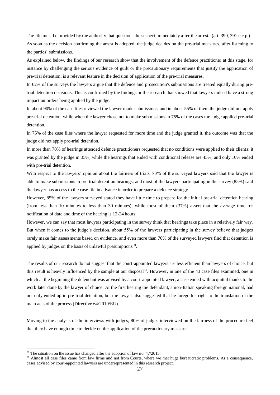The file must be provided by the authority that questions the suspect immediately after the arrest. (art. 390, 391 c.c.p.) As soon as the decision confirming the arrest is adopted, the judge decides on the pre-trial measures, after listening to the parties' submissions.

As explained below, the findings of our research show that the involvement of the defence practitioner at this stage, for instance by challenging the serious evidence of guilt or the precautionary requirements that justify the application of pre-trial detention, is a relevant feature in the decision of application of the pre-trial measures.

In 62% of the surveys the lawyers argue that the defence and prosecution's submissions are treated equally during pretrial detention decisions. This is confirmed by the findings or the research that showed that lawyers indeed have a strong impact on orders being applied by the judge.

In about 90% of the case files reviewed the lawyer made submissions, and in about 55% of them the judge did not apply pre-trial detention, while when the lawyer chose not to make submissions in 75% of the cases the judge applied pre-trial detention.

In 75% of the case files where the lawyer requested for more time and the judge granted it, the outcome was that the judge did not apply pre-trial detention.

In more than 70% of hearings attended defence practitioners requested that no conditions were applied to their clients: it was granted by the judge in 35%, while the hearings that ended with conditional release are 45%, and only 10% ended with pre-trial detention.

With respect to the lawyers' opinion about the fairness of trials, 83% of the surveyed lawyers said that the lawyer is able to make submissions in pre-trial detention hearings; and most of the lawyers participating in the survey (85%) said the lawyer has access to the case file in advance in order to prepare a defence strategy.

However, 85% of the lawyers surveyed stated they have little time to prepare for the initial pre-trial detention hearing (from less than 10 minutes to less than 30 minutes), while most of them (37%) assert that the average time for notification of date and time of the hearing is 12-24 hours.

However, we can say that most lawyers participating in the survey think that hearings take place in a relatively fair way. But when it comes to the judge's decision, about 55% of the lawyers participating in the survey believe that judges rarely make fair assessments based on evidence, and even more than 70% of the surveyed lawyers find that detention is applied by judges on the basis of unlawful presumptions $60$ .

The results of our research do not suggest that the court-appointed lawyers are less efficient than lawyers of choice, but this result is heavily influenced by the sample at our disposal<sup>61</sup>. However, in one of the 43 case files examined, one in which at the beginning the defendant was advised by a court-appointed lawyer, a case ended with acquittal thanks to the work later done by the lawyer of choice. At the first hearing the defendant, a non-Italian speaking foreign national, had not only ended up in pre-trial detention, but the lawyer also suggested that he forego his right to the translation of the main acts of the process (Directive 64/2010/EU).

Moving to the analysis of the interviews with judges, 80% of judges interviewed on the fairness of the procedure feel that they have enough time to decide on the application of the precautionary measure.

<sup>&</sup>lt;sup>60</sup> The situation on the issue has changed after the adoption of law no. 47/2015.

 $<sup>61</sup>$  Almost all case files came from law firms and not from Courts, where we met huge bureaucratic problems. As a consequence,</sup> cases advised by court-appointed lawyers are underrepresented in this research project.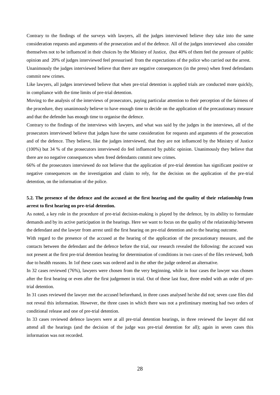Contrary to the findings of the surveys with lawyers, all the judges interviewed believe they take into the same consideration requests and arguments of the prosecution and of the defence. All of the judges interviewed also consider themselves not to be influenced in their choices by the Ministry of Justice, (but 40% of them feel the pressure of public opinion and 20% of judges interviewed feel pressurised from the expectations of the police who carried out the arrest. Unanimously the judges interviewed believe that there are negative consequences (in the press) when freed defendants commit new crimes.

Like lawyers, all judges interviewed believe that when pre-trial detention is applied trials are conducted more quickly, in compliance with the time limits of pre-trial detention.

Moving to the analysis of the interviews of prosecutors, paying particular attention to their perception of the fairness of the procedure, they unanimously believe to have enough time to decide on the application of the precautionary measure and that the defender has enough time to organise the defence.

Contrary to the findings of the interviews with lawyers, and what was said by the judges in the interviews, all of the prosecutors interviewed believe that judges have the same consideration for requests and arguments of the prosecution and of the defence. They believe, like the judges interviewed, that they are not influenced by the Ministry of Justice (100%) but 34 % of the prosecutors interviewed do feel influenced by public opinion. Unanimously they believe that there are no negative consequences when freed defendants commit new crimes.

66% of the prosecutors interviewed do not believe that the application of pre-trial detention has significant positive or negative consequences on the investigation and claim to rely, for the decision on the application of the pre-trial detention, on the information of the police.

## **5.2. The presence of the defence and the accused at the first hearing and the quality of their relationship from arrest to first hearing on pre-trial detention.**

As noted, a key role in the procedure of pre-trial decision-making is played by the defence, by its ability to formulate demands and by its active participation in the hearings. Here we want to focus on the quality of the relationship between the defendant and the lawyer from arrest until the first hearing on pre-trial detention and to the hearing outcome.

With regard to the presence of the accused at the hearing of the application of the precautionary measure, and the contacts between the defendant and the defence before the trial, our research revealed the following: the accused was not present at the first pre-trial detention hearing for determination of conditions in two cases of the files reviewed, both due to health reasons. In 1of these cases was ordered and in the other the judge ordered an alternative.

In 32 cases reviewed (76%), lawyers were chosen from the very beginning, while in four cases the lawyer was chosen after the first hearing or even after the first judgement in trial. Out of these last four, three ended with an order of pretrial detention.

In 31 cases reviewed the lawyer met the accused beforehand, in three cases analysed he/she did not; seven case files did not reveal this information. However, the three cases in which there was not a preliminary meeting had two orders of conditional release and one of pre-trial detention.

In 33 cases reviewed defence lawyers were at all pre-trial detention hearings, in three reviewed the lawyer did not attend all the hearings (and the decision of the judge was pre-trial detention for all); again in seven cases this information was not recorded.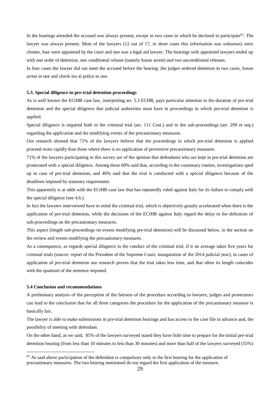In the hearings attended the accused was always present, except in two cases in which he declined to participate<sup>62</sup>. The lawyer was always present. Most of the lawyers (12 out of 17, in three cases this information was unknown) were chosen, four were appointed by the court and one was a legal aid lawyer. The hearings with appointed lawyers ended up with one order of detention, one conditional release (namely house arrest) and two unconditional releases.

In four cases the lawyer did not meet the accused before the hearing: the judges ordered detention in two cases, house arrest in one and check-ins at police in one.

#### **5.3. Special diligence in pre-trial detention proceedings**

As is well known the ECtHR case law, interpreting art. 5.3 ECHR, pays particular attention to the duration of pre-trial detention and the special diligence that judicial authorities must have in proceedings in which pre-trial detention is applied.

Special diligence is required both in the criminal trial (art. 111 Cost.) and in the sub-proceedings (art. 299 et seq.) regarding the application and the modifying events of the precautionary measures.

Our research showed that 71% of the lawyers believe that the proceedings in which pre-trial detention is applied proceed more rapidly than those where there is no application of preventive precautionary measures.

71% of the lawyers participating in this survey are of the opinion that defendants who are kept in pre-trial detention are prosecuted with a special diligence. Among these 60% said that, according to the customary routine, investigations sped up in case of pre-trial detention, and 40% said that the trial is conducted with a special diligence because of the deadlines imposed by statutory requirement.

This apparently is at odds with the ECtHR case law that has repeatedly ruled against Italy for its failure to comply with the special diligence (see 4.6.).

In fact the lawyers interviewed have in mind the criminal trial, which is objectively greatly accelerated when there is the application of pre-trial detention, while the decisions of the ECtHR against Italy regard the delay in the definition of sub-proceedings on the precautionary measures.

This aspect (length sub-proceedings on events modifying pre-trial detention) will be discussed below, in the section on the review and events modifying the precautionary measures.

As a consequence, as regards special diligence in the conduct of the criminal trial, if it on average takes five years for criminal trials (source: report of the President of the Supreme Court, inauguration of the 2014 judicial year), in cases of application of pre-trial detention our research proves that the trial takes less time, and that often its length coincides with the quantum of the sentence imposed.

## **5.4 Conclusion and recommendations**

<u>.</u>

A preliminary analysis of the perception of the fairness of the procedure according to lawyers, judges and prosecutors can lead to the conclusion that for all three categories the procedure for the application of the precautionary measure is basically fair.

The lawyer is able to make submissions in pre-trial detention hearings and has access to the case file in advance and, the possibility of meeting with defendant.

On the other hand, as we said, 85% of the lawyers surveyed stated they have little time to prepare for the initial pre-trial detention hearing (from less than 10 minutes to less than 30 minutes) and more than half of the lawyers surveyed (55%)

 $62$  As said above participation of the defendant is compulsory only in the first hearing for the application of precautionary measures. The two hearing mentioned do not regard the first application of the measure.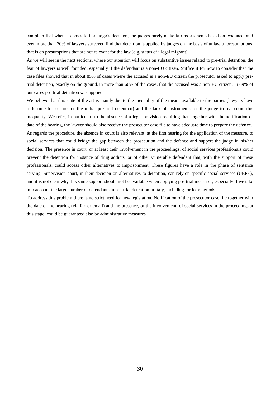complain that when it comes to the judge's decision, the judges rarely make fair assessments based on evidence, and even more than 70% of lawyers surveyed find that detention is applied by judges on the basis of unlawful presumptions, that is on presumptions that are not relevant for the law (e.g. status of illegal migrant).

As we will see in the next sections, where our attention will focus on substantive issues related to pre-trial detention, the fear of lawyers is well founded, especially if the defendant is a non-EU citizen. Suffice it for now to consider that the case files showed that in about 85% of cases where the accused is a non-EU citizen the prosecutor asked to apply pretrial detention, exactly on the ground, in more than 60% of the cases, that the accused was a non-EU citizen. In 69% of our cases pre-trial detention was applied.

We believe that this state of the art is mainly due to the inequality of the means available to the parties (lawyers have little time to prepare for the initial pre-trial detention) and the lack of instruments for the judge to overcome this inequality. We refer, in particular, to the absence of a legal prevision requiring that, together with the notification of date of the hearing, the lawyer should also receive the prosecutor case file to have adequate time to prepare the defence.

As regards the procedure, the absence in court is also relevant, at the first hearing for the application of the measure, to social services that could bridge the gap between the prosecution and the defence and support the judge in his/her decision. The presence in court, or at least their involvement in the proceedings, of social services professionals could prevent the detention for instance of drug addicts, or of other vulnerable defendant that, with the support of these professionals, could access other alternatives to imprisonment. These figures have a role in the phase of sentence serving. Supervision court, in their decision on alternatives to detention, can rely on specific social services (UEPE), and it is not clear why this same support should not be available when applying pre-trial measures, especially if we take into account the large number of defendants in pre-trial detention in Italy, including for long periods.

To address this problem there is no strict need for new legislation. Notification of the prosecutor case file together with the date of the hearing (via fax or email) and the presence, or the involvement, of social services in the proceedings at this stage, could be guaranteed also by administrative measures.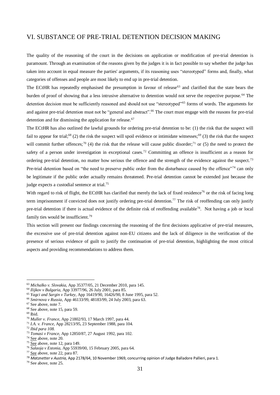## VI. SUBSTANCE OF PRE-TRIAL DETENTION DECISION MAKING

The quality of the reasoning of the court in the decisions on application or modification of pre-trial detention is paramount. Through an examination of the reasons given by the judges it is in fact possible to say whether the judge has taken into account in equal measure the parties' arguments, if its reasoning uses "stereotyped" forms and, finally, what categories of offenses and people are most likely to end up in pre-trial detention.

The ECtHR has repeatedly emphasised the presumption in favour of release<sup>63</sup> and clarified that the state bears the burden of proof of showing that a less intrusive alternative to detention would not serve the respective purpose.<sup>64</sup> The detention decision must be sufficiently reasoned and should not use "stereotyped"<sup>65</sup> forms of words. The arguments for and against pre-trial detention must not be "general and abstract".<sup>66</sup> The court must engage with the reasons for pre-trial detention and for dismissing the application for release.<sup>67</sup>

The ECtHR has also outlined the lawful grounds for ordering pre-trial detention to be: (1) the risk that the suspect will fail to appear for trial;<sup>68</sup> (2) the risk the suspect will spoil evidence or intimidate witnesses;<sup>69</sup> (3) the risk that the suspect will commit further offences;<sup>70</sup> (4) the risk that the release will cause public disorder;<sup>71</sup> or (5) the need to protect the safety of a person under investigation in exceptional cases.<sup>72</sup> Committing an offence is insufficient as a reason for ordering pre-trial detention, no matter how serious the offence and the strength of the evidence against the suspect.<sup>73</sup> Pre-trial detention based on "the need to preserve public order from the disturbance caused by the offence"<sup>74</sup> can only be legitimate if the public order actually remains threatened. Pre-trial detention cannot be extended just because the judge expects a custodial sentence at trial.<sup>75</sup>

With regard to risk of flight, the ECtHR has clarified that merely the lack of fixed residence<sup>76</sup> or the risk of facing long term imprisonment if convicted does not justify ordering pre-trial detention.<sup>77</sup> The risk of reoffending can only justify pre-trial detention if there is actual evidence of the definite risk of reoffending available<sup>78</sup>. Not having a job or local family ties would be insufficient.<sup>79</sup>

This section will present our findings concerning the reasoning of the first decisions applicative of pre-trial measures, the excessive use of pre-trial detention against non-EU citizens and the lack of diligence in the verification of the presence of serious evidence of guilt to justify the continuation of pre-trial detention, highlighting the most critical aspects and providing recommendations to address them.

<sup>63</sup> *Michalko v. Slovakia*, App 35377/05, 21 December 2010, para 145.

<sup>64</sup> *Ilijkov v Bulgaria,* App 33977/96, 26 July 2001, para 85.

<sup>65</sup> *Yagci and Sargin v Turkey,* App 16419/90, 16426/90, 8 June 1995, para 52.

<sup>66</sup> *Smirnova v Russia*, App 46133/99, 48183/99, 24 July 2003, para 63.

<sup>67</sup> See above, note 7.

<sup>68</sup> See above, note 15, para 59.

<sup>69</sup> Ibid.

<sup>70</sup> *Muller v. France*, App 21802/93, 17 March 1997, para 44.

<sup>71</sup> *I.A. v. France*, App 28213/95, 23 September 1988, para 104.

<sup>72</sup> *Ibid para 108.*

<sup>73</sup> *Tomasi v France,* App 12850/87, 27 August 1992, para 102.

<sup>74</sup> [See](file:///C:/Users/Utente/AppData/casework.intern/AppData/Local/Microsoft/Windows/Temporary%20Internet%20Files/Content.Outlook/GQUKO5NR/See) above, note 20.

 $\frac{75}{25}$  [See](file:///C:/Users/Utente/AppData/casework.intern/AppData/Local/Microsoft/Windows/Temporary%20Internet%20Files/Content.Outlook/GQUKO5NR/See) above, note 12, para 149.

<sup>76</sup> *Sulaoja v Estonia,* App 55939/00, 15 February 2005, para 64.

<sup>77</sup> [See](file:///C:/Users/Utente/AppData/casework.intern/AppData/Local/Microsoft/Windows/Temporary%20Internet%20Files/Content.Outlook/GQUKO5NR/See) above, note 22, para 87.

<sup>78</sup> *Matznetter v Austria,* App 2178/64, 10 November 1969, concurring opinion of Judge Balladore Pallieri, para 1.

<sup>79</sup> See above, note 25.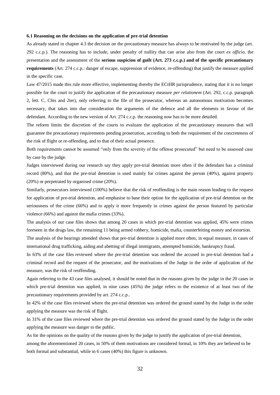#### **6.1 Reasoning on the decisions on the application of pre-trial detention**

As already stated in chapter 4.3 the decision on the precautionary measure has always to be motivated by the judge (art. 292 c.c.p.). The reasoning has to include, under penalty of nullity that can arise also from the court *ex officio*, the presentation and the assessment of the **serious suspicion of guilt (Art. 273 c.c.p.) and of the specific precautionary requirements** (Art. 274 c.c.p.: danger of escape, suppression of evidence, re-offending) that justify the measure applied in the specific case.

Law 47/2015 made this rule more effective, implementing thereby the ECtHR jurisprudence, stating that it is no longer possible for the court to justify the application of the precautionary measure *per relationem* (Art. 292, c.c.p. paragraph 2, lett. C, Cbis and 2ter), only referring to the file of the prosecutor, whereas an autonomous motivation becomes necessary, that takes into due consideration the arguments of the defence and all the elements in favour of the defendant. According to the new version of Art. 274 c.c.p. the reasoning now has to be more detailed.

The reform limits the discretion of the courts to evaluate the application of the precautionary measures that will guarantee the precautionary requirements pending prosecution, according to both the requirement of the concreteness of the risk of flight or re-offending, and to that of their actual presence.

Both requirements cannot be assumed "only from the severity of the offense prosecuted" but need to be assessed case by case by the judge.

Judges interviewed during our research say they apply pre-trial detention more often if the defendant has a criminal record (80%), and that the pre-trial detention is used mainly for crimes against the person (40%), against property (20%) or perpetrated by organised crime (20%).

Similarly, prosecutors interviewed (100%) believe that the risk of reoffending is the main reason leading to the request for application of pre-trial detention, and emphasise to base their option for the application of pre-trial detention on the seriousness of the crime (66%) and to apply it more frequently in crimes against the person featured by particular violence (66%) and against the mafia crimes (33%).

The analysis of our case files shows that among 20 cases in which pre-trial detention was applied, 45% were crimes foreseen in the drugs law, the remaining 11 being armed robbery, homicide, mafia, counterfeiting money and extortion.

The analysis of the hearings attended shows that pre-trial detention is applied more often, in equal measure, in cases of international drug trafficking, aiding and abetting of illegal immigrants, attempted homicide, bankruptcy fraud.

In 63% of the case files reviewed where the pre-trial detention was ordered the accused in pre-trial detention had a criminal record and the request of the prosecutor, and the motivations of the Judge in the order of application of the measure, was the risk of reoffending.

Again referring to the 43 case files analysed, it should be noted that in the reasons given by the judge in the 20 cases in which pre-trial detention was applied, in nine cases (45%) the judge refers to the existence of at least two of the precautionary requirements provided by art. 274 c.c.p..

In 42% of the case files reviewed where the pre-trial detention was ordered the ground stated by the Judge in the order applying the measure was the risk of flight.

In 31% of the case files reviewed where the pre-trial detention was ordered the ground stated by the Judge in the order applying the measure was danger to the public.

As for the opinions on the quality of the reasons given by the judge to justify the application of pre-trial detention,

among the aforementioned 20 cases, in 50% of them motivations are considered formal, in 10% they are believed to be both formal and substantial, while in 6 cases (40%) this figure is unknown.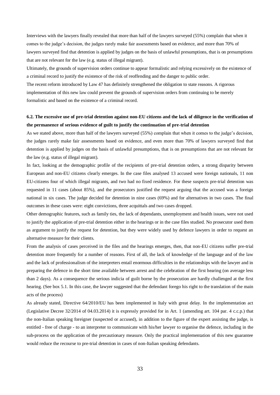Interviews with the lawyers finally revealed that more than half of the lawyers surveyed (55%) complain that when it comes to the judge's decision, the judges rarely make fair assessments based on evidence, and more than 70% of lawyers surveyed find that detention is applied by judges on the basis of unlawful presumptions, that is on presumptions that are not relevant for the law (e.g. status of illegal migrant).

Ultimately, the grounds of supervision orders continue to appear formalistic and relying excessively on the existence of a criminal record to justify the existence of the risk of reoffending and the danger to public order.

The recent reform introduced by Law 47 has definitely strengthened the obligation to state reasons. A rigorous implementation of this new law could prevent the grounds of supervision orders from continuing to be merely formalistic and based on the existence of a criminal record.

## **6.2. The excessive use of pre-trial detention against non-EU citizens and the lack of diligence in the verification of the permanence of serious evidence of guilt to justify the continuation of pre-trial detention**

As we stated above, more than half of the lawyers surveyed (55%) complain that when it comes to the judge's decision, the judges rarely make fair assessments based on evidence, and even more than 70% of lawyers surveyed find that detention is applied by judges on the basis of unlawful presumptions, that is on presumptions that are not relevant for the law (e.g. status of illegal migrant).

In fact, looking at the demographic profile of the recipients of pre-trial detention orders, a strong disparity between European and non-EU citizens clearly emerges. In the case files analysed 13 accused were foreign nationals, 11 non EU-citizens four of which illegal migrants, and two had no fixed residence. For these suspects pre-trial detention was requested in 11 cases (about 85%), and the prosecutors justified the request arguing that the accused was a foreign national in six cases. The judge decided for detention in nine cases (69%) and for alternatives in two cases. The final outcomes in these cases were: eight convictions, three acquittals and two cases dropped.

Other demographic features, such as family ties, the lack of dependants, unemployment and health issues, were not used to justify the application of pre-trial detention either in the hearings or in the case files studied. No prosecutor used them as argument to justify the request for detention, but they were widely used by defence lawyers in order to request an alternative measure for their clients.

From the analysis of cases perceived in the files and the hearings emerges, then, that non-EU citizens suffer pre-trial detention more frequently for a number of reasons. First of all, the lack of knowledge of the language and of the law and the lack of professionalism of the interpreters entail enormous difficulties in the relationships with the lawyer and in preparing the defence in the short time available between arrest and the celebration of the first hearing (on average less than 2 days). As a consequence the serious indicia of guilt borne by the prosecution are hardly challenged at the first hearing. (See box 5.1. In this case, the lawyer suggested that the defendant forego his right to the translation of the main acts of the process)

As already stated, Directive 64/2010/EU has been implemented in Italy with great delay. In the implementation act (Legislative Decree 32/2014 of 04.03.2014) it is expressly provided for in Art. 1 (amending art. 104 par. 4 c.c.p.) that the non-Italian speaking foreigner (suspected or accused), in addition to the figure of the expert assisting the judge, is entitled - free of charge - to an interpreter to communicate with his/her lawyer to organise the defence, including in the sub-process on the application of the precautionary measure. Only the practical implementation of this new guarantee would reduce the recourse to pre-trial detention in cases of non-Italian speaking defendants.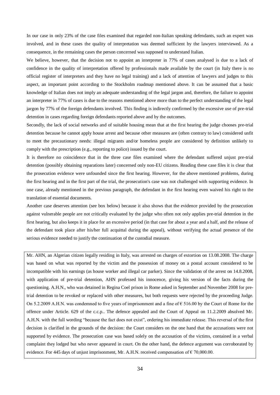In our case in only 23% of the case files examined that regarded non-Italian speaking defendants, such an expert was involved, and in these cases the quality of interpretation was deemed sufficient by the lawyers interviewed. As a consequence, in the remaining cases the person concerned was supposed to understand Italian.

We believe, however, that the decision not to appoint an interpreter in 77% of cases analysed is due to a lack of confidence in the quality of interpretation offered by professionals made available by the court (in Italy there is no official register of interpreters and they have no legal training) and a lack of attention of lawyers and judges to this aspect, an important point according to the Stockholm roadmap mentioned above. It can be assumed that a basic knowledge of Italian does not imply an adequate understanding of the legal jargon and, therefore, the failure to appoint an interpreter in 77% of cases is due to the reasons mentioned above more than to the perfect understanding of the legal jargon by 77% of the foreign defendants involved. This finding is indirectly confirmed by the excessive use of pre-trial detention in cases regarding foreign defendants reported above and by the outcomes.

Secondly, the lack of social networks and of suitable housing mean that at the first hearing the judge chooses pre-trial detention because he cannot apply house arrest and because other measures are (often contrary to law) considered unfit to meet the precautionary needs: illegal migrants and/or homeless people are considered by definition unlikely to comply with the prescription (e.g., reporting to police) issued by the court.

It is therefore no coincidence that in the three case files examined where the defendant suffered unjust pre-trial detention (possibly obtaining reparations later) concerned only non-EU citizens. Reading these case files it is clear that the prosecution evidence were unfounded since the first hearing. However, for the above mentioned problems, during the first hearing and in the first part of the trial, the prosecution's case was not challenged with supporting evidence. In one case, already mentioned in the previous paragraph, the defendant in the first hearing even waived his right to the translation of essential documents.

Another case deserves attention (see box below) because it also shows that the evidence provided by the prosecution against vulnerable people are not critically evaluated by the judge who often not only applies pre-trial detention in the first hearing, but also keeps it in place for an excessive period (in that case for about a year and a half, and the release of the defendant took place after his/her full acquittal during the appeal), without verifying the actual presence of the serious evidence needed to justify the continuation of the custodial measure.

Mr. AHN, an Algerian citizen legally residing in Italy, was arrested on charges of extortion on 13.08.2008. The charge was based on what was reported by the victim and the possession of money on a postal account considered to be incompatible with his earnings (as house worker and illegal car parker). Since the validation of the arrest on 14.8.2008, with application of pre-trial detention, AHN professed his innocence, giving his version of the facts during the questioning. A.H.N., who was detained in Regina Coel prison in Rome asked in September and November 2008 for pretrial detention to be revoked or replaced with other measures, but both requests were rejected by the proceeding Judge. On 5.2.2009 A.H.N. was condemned to five years of imprisonment and a fine of  $\epsilon$  516.00 by the Court of Rome for the offence under Article. 629 of the c.c.p.. The defence appealed and the Court of Appeal on 11.2.2009 absolved Mr. A.H.N. with the full wording "because the fact does not exist", ordering his immediate release. This reversal of the first decision is clarified in the grounds of the decision: the Court considers on the one hand that the accusations were not supported by evidence. The prosecution case was based solely on the accusation of the victims, contained in a verbal complaint they lodged but who never appeared in court. On the other hand, the defence argument was corroborated by evidence. For 445 days of unjust imprisonment, Mr. A.H.N. received compensation of  $\epsilon$  70,000.00.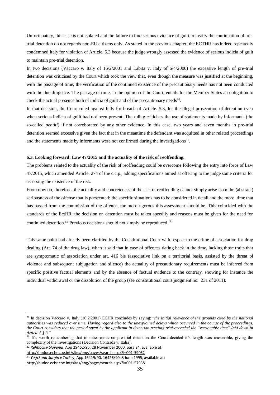Unfortunately, this case is not isolated and the failure to find serious evidence of guilt to justify the continuation of pretrial detention do not regards non-EU citizens only. As stated in the previous chapter, the ECTHR has indeed repeatedly condemned Italy for violation of Article. 5.3 because the judge wrongly assessed the evidence of serious indicia of guilt to maintain pre-trial detention.

In two decisions (Vaccaro v. Italy of  $16/2/2001$  and Labita v. Italy of  $6/4/2000$ ) the excessive length of pre-trial detention was criticised by the Court which took the view that, even though the measure was justified at the beginning, with the passage of time, the verification of the continued existence of the precautionary needs has not been conducted with the due diligence. The passage of time, in the opinion of the Court, entails for the Member States an obligation to check the actual presence both of indicia of guilt and of the precautionary needs $80$ .

In that decision, the Court ruled against Italy for breach of Article. 5.3, for the illegal prosecution of detention even when serious indicia of guilt had not been present. The ruling criticises the use of statements made by informants (the so-called *pentiti*) if not corroborated by any other evidence. In this case, two years and seven months in pre-trial detention seemed excessive given the fact that in the meantime the defendant was acquitted in other related proceedings and the statements made by informants were not confirmed during the investigations $81$ .

## **6.3. Looking forward: Law 47/2015 and the actuality of the risk of reoffending.**

The problems related to the actuality of the risk of reoffending could be overcome following the entry into force of Law 47/2015, which amended Article. 274 of the c.c.p., adding specifications aimed at offering to the judge some criteria for assessing the existence of the risk.

From now on, therefore, the actuality and concreteness of the risk of reoffending cannot simply arise from the (abstract) seriousness of the offense that is persecuted: the specific situations has to be considered in detail and the more time that has passed from the commission of the offence, the more rigorous this assessment should be. This coincided with the standards of the EctHR: the decision on detention must be taken speedily and reasons must be given for the need for continued detention.<sup>82</sup> Previous decisions should not simply be reproduced.<sup>83</sup>

This same point had already been clarified by the Constitutional Court with respect to the crime of association for drug dealing (Art. 74 of the drug law), when it said that in case of offences dating back in the time, lacking those traits that are symptomatic of association under art. 416 bis (associative link on a territorial basis, assisted by the threat of violence and subsequent subjugation and silence) the actuality of precautionary requirements must be inferred from specific positive factual elements and by the absence of factual evidence to the contrary, showing for instance the individual withdrawal or the dissolution of the group (see constitutional court judgment no. 231 of 2011).

<sup>82</sup> *Rehbock v Slovenia*, App 29462/95, 28 November 2000, para 84, available at: <http://hudoc.echr.coe.int/sites/eng/pages/search.aspx?i=001-59052>

<sup>83</sup> *Yagci and Sargin v Turkey,* App 16419/90, 16426/90, 8 June 1995, available at:

1

<sup>80</sup> In decision Vaccaro v. Italy (16.2.2001) ECHR concludes by saying: "*the initial relevance of the grounds cited by the national authorities was reduced over time. Having regard also to the unexplained delays which occurred in the course of the proceedings, the Court considers that the period spent by the applicant in detention pending trial exceeded the "reasonable time" laid down in Article 5 § 3*."

<sup>&</sup>lt;sup>81</sup> It's worth remembering that in other cases on pre-trial detention the Court decided it's length was reasonable, giving the complexity of the investigations (Decision Contrada v. Italia).

[http://hudoc.echr.coe.int/sites/eng/pages/search.aspx?i=001-57938.](http://hudoc.echr.coe.int/sites/eng/pages/search.aspx?i=001-57938)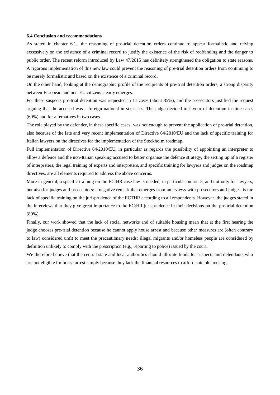## **6.4 Conclusion and recommendations**

As stated in chapter 6.1., the reasoning of pre-trial detention orders continue to appear formalistic and relying excessively on the existence of a criminal record to justify the existence of the risk of reoffending and the danger to public order. The recent reform introduced by Law 47/2015 has definitely strengthened the obligation to state reasons. A rigorous implementation of this new law could prevent the reasoning of pre-trial detention orders from continuing to be merely formalistic and based on the existence of a criminal record.

On the other hand, looking at the demographic profile of the recipients of pre-trial detention orders, a strong disparity between European and non-EU citizens clearly emerges.

For these suspects pre-trial detention was requested in 11 cases (about 85%), and the prosecutors justified the request arguing that the accused was a foreign national in six cases. The judge decided in favour of detention in nine cases (69%) and for alternatives in two cases.

The role played by the defender, in these specific cases, was not enough to prevent the application of pre-trial detention, also because of the late and very recent implementation of Directive 64/2010/EU and the lack of specific training for Italian lawyers on the directives for the implementation of the Stockholm roadmap.

Full implementation of Directive 64/2010/EU, in particular as regards the possibility of appointing an interpreter to allow a defence and the non-Italian speaking accused to better organise the defence strategy, the setting up of a register of interpreters, the legal training of experts and interpreters, and specific training for lawyers and judges on the roadmap directives, are all elements required to address the above concerns.

More in general, a specific training on the ECtHR case law is needed, in particular on art. 5, and not only for lawyers, but also for judges and prosecutors: a negative remark that emerges from interviews with prosecutors and judges, is the lack of specific training on the jurisprudence of the ECTHR according to all respondents. However, the judges stated in the interviews that they give great importance to the ECtHR jurisprudence in their decisions on the pre-trial detention (80%).

Finally, our work showed that the lack of social networks and of suitable housing mean that at the first hearing the judge chooses pre-trial detention because he cannot apply house arrest and because other measures are (often contrary to law) considered unfit to meet the precautionary needs: illegal migrants and/or homeless people are considered by definition unlikely to comply with the prescription (e.g., reporting to police) issued by the court.

We therefore believe that the central state and local authorities should allocate funds for suspects and defendants who are not eligible for house arrest simply because they lack the financial resources to afford suitable housing.

36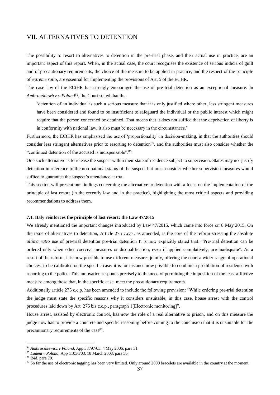## VII. ALTERNATIVES TO DETENTION

The possibility to resort to alternatives to detention in the pre-trial phase, and their actual use in practice, are an important aspect of this report. When, in the actual case, the court recognises the existence of serious indicia of guilt and of precautionary requirements, the choice of the measure to be applied in practice, and the respect of the principle of *extreme ratio*, are essential for implementing the provisions of Art. 5 of the ECHR.

The case law of the ECtHR has strongly encouraged the use of pre-trial detention as an exceptional measure. In Ambruszkiewicz v Poland<sup>84</sup>, the Court stated that the

'detention of an individual is such a serious measure that it is only justified where other, less stringent measures have been considered and found to be insufficient to safeguard the individual or the public interest which might require that the person concerned be detained. That means that it does not suffice that the deprivation of liberty is in conformity with national law, it also must be necessary in the circumstances.'

Furthermore, the ECtHR has emphasised the use of 'proportionality' in decision-making, in that the authorities should consider less stringent alternatives prior to resorting to detention<sup>85</sup>, and the authorities must also consider whether the "continued detention of the accused is indispensable".<sup>86</sup>

One such alternative is to release the suspect within their state of residence subject to supervision. States may not justify detention in reference to the non-national status of the suspect but must consider whether supervision measures would suffice to guarantee the suspect's attendance at trial.

This section will present our findings concerning the alternative to detention with a focus on the implementation of the principle of last resort (in the recently law and in the practice), highlighting the most critical aspects and providing recommendations to address them.

#### **7.1. Italy reinforces the principle of last resort: the Law 47/2015**

We already mentioned the important changes introduced by Law 47/2015, which came into force on 8 May 2015. On the issue of alternatives to detention, Article 275 c.c.p., as amended, is the core of the reform stressing the absolute *ultima ratio* use of pre-trial detention pre-trial detention It is now explicitly stated that: "Pre-trial detention can be ordered only when other coercive measures or disqualification, even if applied cumulatively, are inadequate". As a result of the reform, it is now possible to use different measures jointly, offering the court a wider range of operational choices, to be calibrated on the specific case: it is for instance now possible to combine a prohibition of residence with reporting to the police. This innovation responds precisely to the need of permitting the imposition of the least afflictive measure among those that, in the specific case, meet the precautionary requirements.

Additionally article 275 c.c.p. has been amended to include the following provision: "While ordering pre-trial detention the judge must state the specific reasons why it considers unsuitable, in this case, house arrest with the control procedures laid down by Art. 275 bis c.c.p., paragraph 1[Electronic monitoring]".

House arrest, assisted by electronic control, has now the role of a real alternative to prison, and on this measure the judge now has to provide a concrete and specific reasoning before coming to the conclusion that it is unsuitable for the precautionary requirements of the case<sup>87</sup>.

<sup>84</sup> *Ambruszkiewicz v Poland*, App 38797/03. 4 May 2006, para 31.

<sup>85</sup> *Ladent v Poland,* App 11036/03, 18 March 2008, para 55.

<sup>86</sup> Ibid, para 79.

<sup>&</sup>lt;sup>87</sup> So far the use of electronic tagging has been very limited. Only around 2000 bracelets are available in the country at the moment.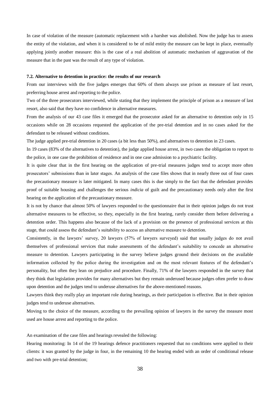In case of violation of the measure (automatic replacement with a harsher was abolished. Now the judge has to assess the entity of the violation, and when it is considered to be of mild entity the measure can be kept in place, eventually applying jointly another measure: this is the case of a real abolition of automatic mechanism of aggravation of the measure that in the past was the result of any type of violation.

## **7.2. Alternative to detention in practice: the results of our research**

From our interviews with the five judges emerges that 60% of them always use prison as measure of last resort, preferring house arrest and reporting to the police.

Two of the three prosecutors interviewed, while stating that they implement the principle of prison as a measure of last resort, also said that they have no confidence in alternative measures.

From the analysis of our 43 case files it emerged that the prosecutor asked for an alternative to detention only in 15 occasions while on 28 occasions requested the application of the pre-trial detention and in no cases asked for the defendant to be released without conditions.

The judge applied pre-trial detention in 20 cases (a bit less than 50%), and alternatives to detention in 23 cases.

In 19 cases (83% of the alternatives to detention), the judge applied house arrest, in two cases the obligation to report to the police, in one case the prohibition of residence and in one case admission to a psychiatric facility.

It is quite clear that in the first hearing on the application of pre-trial measures judges tend to accept more often prosecutors' submissions than in later stages. An analysis of the case files shows that in nearly three out of four cases the precautionary measure is later mitigated. In many cases this is due simply to the fact that the defendant provides proof of suitable housing and challenges the serious *indicia* of guilt and the precautionary needs only after the first hearing on the application of the precautionary measure.

It is not by chance that almost 50% of lawyers responded to the questionnaire that in their opinion judges do not trust alternative measures to be effective, so they, especially in the first hearing, rarely consider them before delivering a detention order. This happens also because of the lack of a provision on the presence of professional services at this stage, that could assess the defendant's suitability to access an alternative measure to detention.

Consistently, in the lawyers' survey, 20 lawyers (57% of lawyers surveyed) said that usually judges do not avail themselves of professional services that make assessments of the defendant's suitability to concede an alternative measure to detention. Lawyers participating in the survey believe judges ground their decisions on the available information collected by the police during the investigation and on the most relevant features of the defendant's personality, but often they lean on prejudice and procedure. Finally, 71% of the lawyers responded in the survey that they think that legislation provides for many alternatives but they remain underused because judges often prefer to draw upon detention and the judges tend to underuse alternatives for the above-mentioned reasons.

Lawyers think they really play an important role during hearings, as their participation is effective. But in their opinion judges tend to underuse alternatives.

Moving to the choice of the measure, according to the prevailing opinion of lawyers in the survey the measure most used are house arrest and reporting to the police.

An examination of the case files and hearings revealed the following:

Hearing monitoring: In 14 of the 19 hearings defence practitioners requested that no conditions were applied to their clients: it was granted by the judge in four, in the remaining 10 the hearing ended with an order of conditional release and two with pre-trial detention;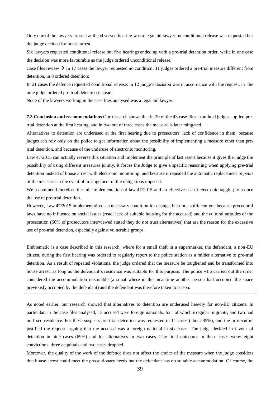Only one of the lawyers present at the observed hearing was a legal aid lawyer: unconditional release was requested but the judge decided for house arrest.

Six lawyers requested conditional release but five hearings ended up with a pre-trial detention order, while in one case the decision was more favourable as the judge ordered unconditional release.

Case files review  $\rightarrow$  In 17 cases the lawyer requested no condition: 11 judges ordered a pre-trial measure different from detention, in 8 ordered detention;

In 21 cases the defence requested conditional release: in 12 judge's decision was in accordance with the request, in the nine judge ordered pre-trial detention instead;

None of the lawyers working in the case files analysed was a legal aid lawyer.

**7.3 Conclusion and recommendations** Our research shows that in 20 of the 43 case files examined judges applied pretrial detention at the first hearing, and in two out of three cases the measure is later mitigated.

Alternatives to detention are underused at the first hearing due to prosecutors' lack of confidence in them, because judges can rely only on the police to get information about the possibility of implementing a measure other than pretrial detention, and because of the underuse of electronic monitoring.

Law 47/2015 can actually reverse this situation and implement the principle of last resort because it gives the Judge the possibility of using different measures jointly, it forces the Judge to give a specific reasoning when applying pre-trial detention instead of house arrest with electronic monitoring, and because it repealed the automatic replacement *in peius* of the measures in the event of infringement of the obligations imposed.

We recommend therefore the full implementation of law 47/2015 and an effective use of electronic tagging to reduce the use of pre-trial detention.

However, Law 47/2015 implementation is a necessary condition for change, but not a sufficient one because procedural laws have no influence on social issues (read: lack of suitable housing for the accused) and the cultural attitudes of the prosecution (66% of prosecutors interviewed stated they do not trust alternatives) that are the reason for the excessive use of pre-trial detention, especially against vulnerable groups.

Emblematic is a case described in this research, where for a small theft in a supermarket, the defendant, a non-EU citizen, during the first hearing was ordered to regularly report to the police station as a milder alternative to pre-trial detention. As a result of repeated violations, the judge ordered that the measure be toughened and be transformed into house arrest, as long as the defendant's residence was suitable for this purpose. The police who carried out the order considered the accommodation unsuitable (a squat where in the meantime another person had occupied the space previously occupied by the defendant) and the defendant was therefore taken to prison.

As noted earlier, our research showed that alternatives to detention are underused heavily for non-EU citizens. In particular, in the case files analysed, 13 accused were foreign nationals, four of which irregular migrants, and two had no fixed residence. For these suspects pre-trial detention was requested in 11 cases (about 85%), and the prosecutors justified the request arguing that the accused was a foreign national in six cases. The judge decided in favour of detention in nine cases (69%) and for alternatives in two cases. The final outcomes in these cases were: eight convictions, three acquittals and two cases dropped.

Moreover, the quality of the work of the defence does not affect the choice of the measure when the judge considers that house arrest could meet the precautionary needs but the defendant has no suitable accommodation. Of course, the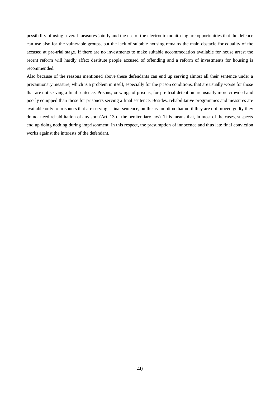possibility of using several measures jointly and the use of the electronic monitoring are opportunities that the defence can use also for the vulnerable groups, but the lack of suitable housing remains the main obstacle for equality of the accused at pre-trial stage. If there are no investments to make suitable accommodation available for house arrest the recent reform will hardly affect destitute people accused of offending and a reform of investments for housing is recommended.

Also because of the reasons mentioned above these defendants can end up serving almost all their sentence under a precautionary measure, which is a problem in itself, especially for the prison conditions, that are usually worse for those that are not serving a final sentence. Prisons, or wings of prisons, for pre-trial detention are usually more crowded and poorly equipped than those for prisoners serving a final sentence. Besides, rehabilitative programmes and measures are available only to prisoners that are serving a final sentence, on the assumption that until they are not proven guilty they do not need rehabilitation of any sort (Art. 13 of the penitentiary law). This means that, in most of the cases, suspects end up doing nothing during imprisonment. In this respect, the presumption of innocence and thus late final conviction works against the interests of the defendant.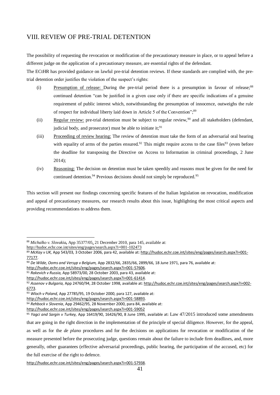## VIII. REVIEW OF PRE-TRIAL DETENTION

The possibility of requesting the revocation or modification of the precautionary measure in place, or to appeal before a different judge on the application of a precautionary measure, are essential rights of the defendant.

The ECtHR has provided guidance on lawful pre-trial detention reviews. If these standards are complied with, the pretrial detention order justifies the violation of the suspect's rights:

- (i) Presumption of release: During the pre-trial period there is a presumption in favour of release;<sup>88</sup> continued detention "can be justified in a given case only if there are specific indications of a genuine requirement of public interest which, notwithstanding the presumption of innocence, outweighs the rule of respect for individual liberty laid down in Article 5 of the Convention";<sup>89</sup>
- (ii) Regular review: pre-trial detention must be subject to regular review,  $90$  and all stakeholders (defendant, judicial body, and prosecutor) must be able to initiate it;  $91$
- (iii) Proceeding of review hearing: The review of detention must take the form of an adversarial oral hearing with equality of arms of the parties ensured.<sup>92</sup> This might require access to the case files<sup>93</sup> (even before the deadline for transposing the Directive on Access to Information in criminal proceedings, 2 June 2014);
- (iv) Reasoning: The decision on detention must be taken speedily and reasons must be given for the need for continued detention.<sup>94</sup> Previous decisions should not simply be reproduced.<sup>95</sup>

This section will present our findings concerning specific features of the Italian legislation on revocation, modification and appeal of precautionary measures, our research results about this issue, highlighting the most critical aspects and providing recommendations to address them.

<http://hudoc.echr.coe.int/sites/eng/pages/search.aspx?i=001-102473>

<sup>88</sup> *Michalko v. Slovakia***,** App 35377/05, 21 December 2010, para 145, available at:

<sup>89</sup> *McKay v UK,* App 543/03*,* 3 October 2006, para 42, available at[: http://hudoc.echr.coe.int/sites/eng/pages/search.aspx?i=001-](http://hudoc.echr.coe.int/sites/eng/pages/search.aspx?i=001-77177) [77177.](http://hudoc.echr.coe.int/sites/eng/pages/search.aspx?i=001-77177) 

<sup>90</sup> *De Wilde, Ooms and Versyp v Belgium,* App 2832/66, 2835/66, 2899/66, 18 June 1971, para 76, available at:

[http://hudoc.echr.coe.int/sites/eng/pages/search.aspx?i=001-57606.](http://hudoc.echr.coe.int/sites/eng/pages/search.aspx?i=001-57606)

<sup>91</sup> *Rakevich v Russia,* App 58973/00, 28 October 2003, para 43, available at:

[http://hudoc.echr.coe.int/sites/eng/pages/search.aspx?i=001-61414.](http://hudoc.echr.coe.int/sites/eng/pages/search.aspx?i=001-61414)

<sup>92</sup> *Assenov v Bulgaria,* App 24760/94, 28 October 1998, available at[: http://hudoc.echr.coe.int/sites/eng/pages/search.aspx?i=002-](http://hudoc.echr.coe.int/sites/eng/pages/search.aspx?i=002-6773) [6773.](http://hudoc.echr.coe.int/sites/eng/pages/search.aspx?i=002-6773)

<sup>93</sup> *Wloch v Poland,* App 27785/95, 19 October 2000, para 127, available at:

[http://hudoc.echr.coe.int/sites/eng/pages/search.aspx?i=001-58893.](http://hudoc.echr.coe.int/sites/eng/pages/search.aspx?i=001-58893)

<sup>94</sup> *Rehbock v Slovenia*, App 29462/95, 28 November 2000, para 84, available at:

<http://hudoc.echr.coe.int/sites/eng/pages/search.aspx?i=001-59052>

<sup>95</sup> *Yagci and Sargin v Turkey,* App 16419/90, 16426/90, 8 June 1995, available at: Law 47/2015 introduced some amendments that are going in the right direction in the implementation of the principle of special diligence. However, for the appeal, as well as for the *de plano* procedures and for the decisions on applications for revocation or modification of the measure presented before the prosecuting judge, questions remain about the failure to include firm deadlines, and, more generally, other guarantees (effective adversarial proceedings, public hearing, the participation of the accused, etc) for the full exercise of the right to defence.

[http://hudoc.echr.coe.int/sites/eng/pages/search.aspx?i=001-57938.](http://hudoc.echr.coe.int/sites/eng/pages/search.aspx?i=001-57938)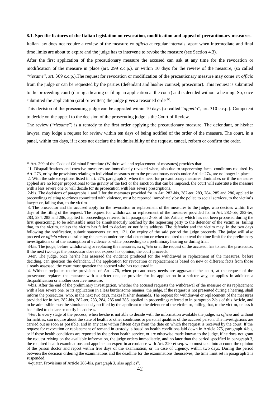## **8.1. Specific features of the Italian legislation on revocation, modification and appeal of precautionary measures**.

Italian law does not require a review of the measure *ex officio* at regular intervals, apart when intermediate and final time limits are about to expire and the judge has to intervene to revoke the measure (see Section 4.3).

After the first application of the precautionary measure the accused can ask at any time for the revocation or modification of the measure in place (art. 299 c.c.p.), or within 10 days for the review of the measure, (so called "*riesame*", art. 309 c.c.p.).The request for revocation or modification of the precautionary measure may come *ex officio* from the judge or can be requested by the parties (defendant and his/her counsel; prosecutor). This request is submitted to the proceeding court (during a hearing or filing an application at the court) and is decided without a hearing. So, once submitted the application (oral or written) the judge gives a reasoned order<sup>96</sup>.

This decision of the prosecuting judge can be appealed within 10 days (so called "*appello*", art. 310 c.c.p.). Competent to decide on the appeal to the decision of the prosecuting judge is the Court of Review.

The review ("*riesame*") is a remedy to the first order applying the precautionary measure. The defendant, or his/her lawyer, may lodge a request for review within ten days of being notified of the order of the measure. The court, in a panel, within ten days, if it does not declare the inadmissibility of the request, cancel, reform or confirm the order.

<sup>96</sup> Art. 299 of the Code of Criminal Procedure (Withdrawal and replacement of measures) provides that:

<sup>&</sup>quot;1. Disqualifications and coercive measures are immediately revoked when, also due to supervening facts, conditions required by Art. 273, or by the provisions relating to individual measures or to the precautionary needs under Article 274, are no longer in place.

<sup>2.</sup> With the sole exceptions listed in art. 275, paragraph 3, when the need for precautionary measures diminishes or if the measures applied are no longer proportional to the gravity of the fact or the sanction that can be imposed, the court will substitute the measure with a less severe one or will decide for its prosecution with less severe prescriptions.

<sup>2-</sup>bis. The decisions of paragraphs 1 and 2 for the measures provided for in Art. 282-bis, 282-ter, 283, 284, 285 and 286, applied in proceedings relating to crimes committed with violence, must be reported immediately by the police to social services, to the victim's lawyer or, failing that, to the victim.

<sup>3.</sup> The prosecutor and the accused apply for the revocation or replacement of the measures to the judge, who decides within five days of the filing of the request. The request for withdrawal or replacement of the measures provided for in Art. 282-bis, 282-ter, 283, 284, 285 and 286, applied in proceedings referred to in paragraph 2-bis of this Article, which has not been proposed during the first questioning, to be admissible must be simultaneously notified by the requesting party to the defender of the victim or, failing that, to the victim, unless the victim has failed to declare or notify its address. The defender and the victim may, in the two days following the notification, submit statements ex Art. 121. On expiry of the said period the judge proceeds. The judge will also proceed *ex officio* when questioning the person under pre-trial detention or when required to extend the time limit for the preliminary investigations or of the assumption of evidence or while proceeding to a preliminary hearing or during trial.

<sup>3-</sup>bis. The judge, before withdrawing or replacing the measures, *ex officio* or at the request of the accused, has to hear the prosecutor. If the next two days the prosecutor does not express his opinion, the court proceeds.

<sup>3-</sup>ter. The judge, once he/she has assessed the evidence produced for the withdrawal or replacement of the measures, before deciding, can question the defendant. If the application for revocation or replacement is based on new or different facts from those already assessed, the court must question the accused who has requested it.

<sup>4.</sup> Without prejudice to the provisions of Art. 276, when precautionary needs are aggravated the court, at the request of the prosecutor, replaces the measure with a stricter one, or provides for its application in a stricter way, or applies in addition a disqualification or another coercive measure.

<sup>4-</sup>bis. After the end of the preliminary investigation, whether the accused requests the withdrawal of the measure or its replacement with a less severe one, or its application in a less burdensome manner, the judge, if the request is not presented during a hearing, shall inform the prosecutor, who, in the next two days, makes his/her demands. The request for withdrawal or replacement of the measures provided for in Art. 282-bis, 282-ter, 283, 284, 285 and 286, applied in proceedings referred to in paragraph 2-bis of this Article, and to be admissible must be simultaneously notified by the applicant to the defender of the victim or, failing that, to the victim, unless it has failed to declare or notify its address.

<sup>4-</sup>ter. In every stage of the process, when he/she is not able to decide with the information available the judge, *ex officio* and without formalities, can inquire about the state of health or other conditions or personal qualities of the accused person. The investigations are carried out as soon as possible, and in any case within fifteen days from the date on which the request is received by the court. If the request for revocation or replacement of remand in custody is based on health conditions laid down in Article 275, paragraph 4-bis, or if these health conditions are reported by the prison health service, or are otherwise made known to the judge, if he does not grant the request relying on the available information, the judge orders immediately, and no later than the period specified in par agraph 3, the required health examinations and appoints an expert in accordance with Art. 220 et seq. who must take into account the opinion of the prison doctor and report within five days of the examination, or, in case of urgency, within two days. During the period between the decision ordering the examinations and the deadline for the examinations themselves, the time limit set in paragraph 3 is suspended.

<sup>4-</sup>quater. Provisions of Article 286-bis, paragraph 3, also applies".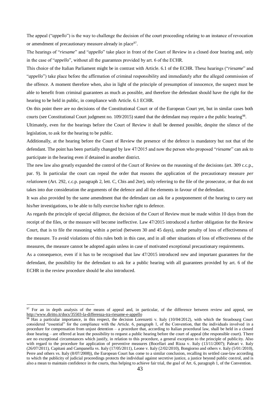The appeal ("*appello*") is the way to challenge the decision of the court proceeding relating to an instance of revocation or amendment of precautionary measure already in place<sup>97</sup>.

The hearings of "*riesame*" and "*appello*" take place in front of the Court of Review in a closed door hearing and, only in the case of "*appello*", without all the guarantees provided by art. 6 of the ECHR.

This choice of the Italian Parliament might be in contrast with Article. 6.1 of the ECHR. These hearings ("*riesame*" and "*appello*") take place before the affirmation of criminal responsibility and immediately after the alleged commission of the offence. A moment therefore when, also in light of the principle of presumption of innocence, the suspect must be able to benefit from criminal guarantees as much as possible, and therefore the defendant should have the right for the hearing to be held in public, in compliance with Article. 6.1 ECHR.

On this point there are no decisions of the Constitutional Court or of the European Court yet, but in similar cases both courts (see Constitutional Court judgment no. 109/2015) stated that the defendant may require a the public hearing<sup>98</sup>.

Ultimately, even for the hearings before the Court of Review it shall be deemed possible, despite the silence of the legislation, to ask for the hearing to be public.

Additionally, at the hearing before the Court of Review the presence of the defence is mandatory but not that of the defendant. The point has been partially changed by law 47/2015 and now the person who proposed "*riesame*" can ask to participate in the hearing even if detained in another district.

The new law also greatly expanded the control of the Court of Review on the reasoning of the decisions (art. 309 c.c.p., par. 9). In particular the court can repeal the order that reasons the application of the precautionary measure *per relationem* (Art. 292, c.c.p. paragraph 2, lett. C, Cbis and 2ter), only referring to the file of the prosecutor, or that do not takes into due consideration the arguments of the defence and all the elements in favour of the defendant.

It was also provided by the same amendment that the defendant can ask for a postponement of the hearing to carry out his/her investigations, to be able to fully exercise his/her right to defence.

As regards the principle of special diligence, the decision of the Court of Review must be made within 10 days from the receipt of the files, or the measure will become ineffective. Law 47/2015 introduced a further obligation for the Review Court, that is to file the reasoning within a period (between 30 and 45 days), under penalty of loss of effectiveness of the measure. To avoid violations of this rules both in this case, and in all other situations of loss of effectiveness of the measures, the measure cannot be adopted again unless in case of motivated exceptional precautionary requirements.

As a consequence, even if it has to be recognised that law  $47/2015$  introduced new and important guarantees for the defendant, the possibility for the defendant to ask for a public hearing with all guarantees provided by art. 6 of the ECHR in the review procedure should be also introduced.

<sup>&</sup>lt;sup>97</sup> For an in depth analysis of the means of appeal and, in particular, of the difference between review and appeal, see <http://www.diritto.it/docs/35503-la-differenza-tra-riesame-e-appello>

Has a particular importance, in this respect, the decision Lorenzetti v. Italy (10/04/2012), with which the Strasbourg Court considered "essential" for the compliance with the Article. 6, paragraph 1, of the Convention, that the individuals involved in a procedure for compensation from unjust detention – a procedure that, according to Italian procedural law, shall be held in a closed door hearing – are offered at least the possibility to request a public hearing before the court of appeal (the responsible court). There are no exceptional circumstances which justify, in relation to this procedure, a general exception to the principle of publicity. Also with regard to the procedure for application of preventive measures (Bocellari and Rizza v. Italy (13/11/2007); Paleari v. Italy (26/07/2011), Capitani and Campanella vs. Italy (17/05/2011), Leone v. Italy (2/02/2010), Bongiorno and others v. Italy (5/01/2010), Perre and others vs. Italy (8/07/2008)), the European Court has come to a similar conclusion, recalling its settled case-law according to which the publicity of judicial proceedings protects the individual against secretive justice, a justice beyond public control, and is also a mean to maintain confidence in the courts, thus helping to achieve fair trial, the goal of Art. 6, paragraph 1, of the Convention.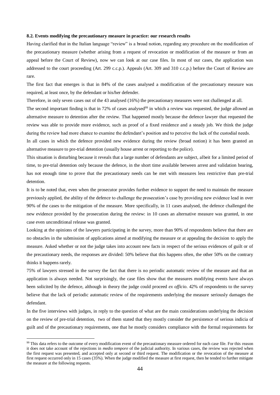## **8.2. Events modifying the precautionary measure in practice: our research results**

Having clarified that in the Italian language "review" is a broad notion, regarding any procedure on the modification of the precautionary measure (whether arising from a request of revocation or modification of the measure or from an appeal before the Court of Review), now we can look at our case files. In most of our cases, the application was addressed to the court proceeding (Art. 299 c.c.p.). Appeals (Art. 309 and 310 c.c.p.) before the Court of Review are rare.

The first fact that emerges is that in 84% of the cases analysed a modification of the precautionary measure was required, at least once, by the defendant or his/her defender.

Therefore, in only seven cases out of the 43 analysed (16%) the precautionary measures were not challenged at all.

The second important finding is that in 72% of cases analysed<sup>99</sup> in which a review was requested, the judge allowed an alternative measure to detention after the review. That happened mostly because the defence lawyer that requested the review was able to provide more evidence, such as proof of a fixed residence and a steady job. We think the judge during the review had more chance to examine the defendant's position and to perceive the lack of the custodial needs.

In all cases in which the defence provided new evidence during the review (broad notion) it has been granted an alternative measure to pre-trial detention (usually house arrest or reporting to the police).

This situation is disturbing because it reveals that a large number of defendants are subject, albeit for a limited period of time, to pre-trial detention only because the defence, in the short time available between arrest and validation hearing, has not enough time to prove that the precautionary needs can be met with measures less restrictive than pre-trial detention.

It is to be noted that, even when the prosecutor provides further evidence to support the need to maintain the measure previously applied, the ability of the defence to challenge the prosecution's case by providing new evidence lead in over 90% of the cases to the mitigation of the measure. More specifically, in 11 cases analysed, the defence challenged the new evidence provided by the prosecution during the review: in 10 cases an alternative measure was granted, in one case even unconditional release was granted.

Looking at the opinions of the lawyers participating in the survey, more than 90% of respondents believe that there are no obstacles in the submission of applications aimed at modifying the measure or at appealing the decision to apply the measure. Asked whether or not the judge takes into account new facts in respect of the serious evidences of guilt or of the precautionary needs, the responses are divided: 50% believe that this happens often, the other 50% on the contrary thinks it happens rarely.

75% of lawyers stressed in the survey the fact that there is no periodic automatic review of the measure and that an application is always needed. Not surprisingly, the case files show that the measures modifying events have always been solicited by the defence, although in theory the judge could proceed *ex officio*. 42% of respondents to the survey believe that the lack of periodic automatic review of the requirements underlying the measure seriously damages the defendant.

In the five interviews with judges, in reply to the question of what are the main considerations underlying the decision on the review of pre-trial detention, two of them stated that they mostly consider the persistence of serious indicia of guilt and of the precautionary requirements, one that he mostly considers compliance with the formal requirements for

1

<sup>&</sup>lt;sup>99</sup> This data refers to the outcome of every modification event of the precautionary measure ordered for each case file. For this reason it does not take account of the rejections in *medio tempore* of the judicial authority. In various cases, the review was rejected when the first request was presented, and accepted only at second or third request. The modification or the revocation of the measure at first request occurred only in 15 cases (35%). When the judge modified the measure at first request, then he tended to further mitigate the measure at the following requests.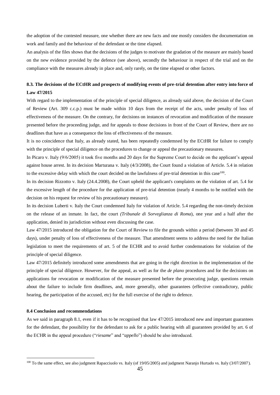the adoption of the contested measure, one whether there are new facts and one mostly considers the documentation on work and family and the behaviour of the defendant or the time elapsed.

An analysis of the files shows that the decisions of the judges to motivate the gradation of the measure are mainly based on the new evidence provided by the defence (see above), secondly the behaviour in respect of the trial and on the compliance with the measures already in place and, only rarely, on the time elapsed or other factors.

## **8.3. The decisions of the ECtHR and prospects of modifying events of pre-trial detention after entry into force of Law 47/2015**

With regard to the implementation of the principle of special diligence, as already said above, the decision of the Court of Review (Art. 309 c.c.p.) must be made within 10 days from the receipt of the acts, under penalty of loss of effectiveness of the measure. On the contrary, for decisions on instances of revocation and modification of the measure presented before the proceeding judge, and for appeals to those decisions in front of the Court of Review, there are no deadlines that have as a consequence the loss of effectiveness of the measure.

It is no coincidence that Italy, as already stated, has been repeatedly condemned by the ECtHR for failure to comply with the principle of special diligence on the procedures to change or appeal the precautionary measures.

In Picaro v. Italy (9/6/2005) it took five months and 20 days for the Supreme Court to decide on the applicant's appeal against house arrest. In its decision Marturana v. Italy (4/3/2008), the Court found a violation of Article. 5.4 in relation to the excessive delay with which the court decided on the lawfulness of pre-trial detention in this case<sup>100</sup>.

In its decision Rizzotto v. Italy (24.4.2008), the Court upheld the applicant's complaints on the violation of art. 5.4 for the excessive length of the procedure for the application of pre-trial detention (nearly 4 months to be notified with the decision on his request for review of his precautionary measure).

In its decision Luberti v. Italy the Court condemned Italy for violation of Article. 5.4 regarding the non-timely decision on the release of an inmate. In fact, the court *(Tribunale di Sorveglianza di Roma*), one year and a half after the application, denied its jurisdiction without even discussing the case.

Law 47/2015 introduced the obligation for the Court of Review to file the grounds within a period (between 30 and 45 days), under penalty of loss of effectiveness of the measure. That amendment seems to address the need for the Italian legislation to meet the requirements of art. 5 of the ECHR and to avoid further condemnations for violation of the principle of special diligence.

Law 47/2015 definitely introduced some amendments that are going in the right direction in the implementation of the principle of special diligence. However, for the appeal, as well as for the *de plano* procedures and for the decisions on applications for revocation or modification of the measure presented before the prosecuting judge, questions remain about the failure to include firm deadlines, and, more generally, other guarantees (effective contradictory, public hearing, the participation of the accused, etc) for the full exercise of the right to defence.

## **8.4 Conclusion and recommendations**

<u>.</u>

As we said in paragraph 8.1, even if it has to be recognised that law 47/2015 introduced new and important guarantees for the defendant, the possibility for the defendant to ask for a public hearing with all guarantees provided by art. 6 of the ECHR in the appeal procedure ("*riesame*" and "*appello*") should be also introduced.

<sup>&</sup>lt;sup>100</sup> To the same effect, see also judgment Rapacciuolo vs. Italy (of 19/05/2005) and judgment Naranjo Hurtado vs. Italy (3/07/2007).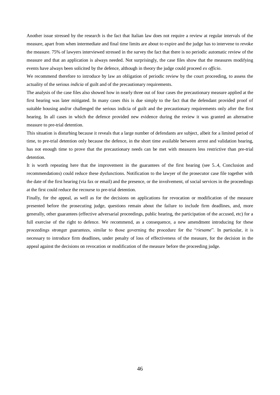Another issue stressed by the research is the fact that Italian law does not require a review at regular intervals of the measure, apart from when intermediate and final time limits are about to expire and the judge has to intervene to revoke the measure. 75% of lawyers interviewed stressed in the survey the fact that there is no periodic automatic review of the measure and that an application is always needed. Not surprisingly, the case files show that the measures modifying events have always been solicited by the defence, although in theory the judge could proceed *ex officio*.

We recommend therefore to introduce by law an obligation of periodic review by the court proceeding, to assess the actuality of the serious *indicia* of guilt and of the precautionary requirements.

The analysis of the case files also showed how in nearly three out of four cases the precautionary measure applied at the first hearing was later mitigated. In many cases this is due simply to the fact that the defendant provided proof of suitable housing and/or challenged the serious indicia of guilt and the precautionary requirements only after the first hearing. In all cases in which the defence provided new evidence during the review it was granted an alternative measure to pre-trial detention.

This situation is disturbing because it reveals that a large number of defendants are subject, albeit for a limited period of time, to pre-trial detention only because the defence, in the short time available between arrest and validation hearing, has not enough time to prove that the precautionary needs can be met with measures less restrictive than pre-trial detention.

It is worth repeating here that the improvement in the guarantees of the first hearing (see 5..4, Conclusion and recommendations) could reduce these dysfunctions. Notification to the lawyer of the prosecutor case file together with the date of the first hearing (via fax or email) and the presence, or the involvement, of social services in the proceedings at the first could reduce the recourse to pre-trial detention.

Finally, for the appeal, as well as for the decisions on applications for revocation or modification of the measure presented before the prosecuting judge, questions remain about the failure to include firm deadlines, and, more generally, other guarantees (effective adversarial proceedings, public hearing, the participation of the accused, etc) for a full exercise of the right to defence. We recommend, as a consequence, a new amendment introducing for these proceedings stronger guarantees, similar to those governing the procedure for the "*riesame*". In particular, it is necessary to introduce firm deadlines, under penalty of loss of effectiveness of the measure, for the decision in the appeal against the decisions on revocation or modification of the measure before the proceeding judge.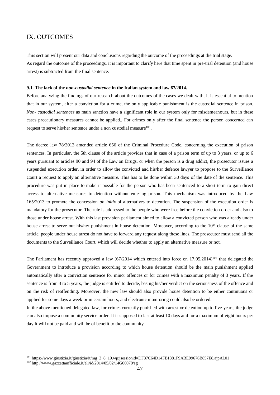## IX. OUTCOMES

This section will present our data and conclusions regarding the outcome of the proceedings at the trial stage. As regard the outcome of the proceedings, it is important to clarify here that time spent in pre-trial detention (and house arrest) is subtracted from the final sentence.

## **9.1. The lack of the** *non-custodial sentence* **in the Italian system and law 67/2014.**

Before analyzing the findings of our research about the outcomes of the cases we dealt with, it is essential to mention that in our system, after a conviction for a crime, the only applicable punishment is the custodial sentence in prison. *Non- custodial sentences* as main sanction have a significant role in our system only for misdemeanours, but in these cases precautionary measures cannot be applied.. For crimes only after the final sentence the person concerned can request to serve his/her sentence under a non custodial measure<sup>101</sup>.

The decree law 78/2013 amended article 656 of the Criminal Procedure Code, concerning the execution of prison sentences. In particular, the 5th clause of the article provides that in case of a prison term of up to 3 years, or up to 6 years pursuant to articles 90 and 94 of the Law on Drugs, or when the person is a drug addict, the prosecutor issues a suspended execution order, in order to allow the convicted and his/her defence lawyer to propose to the Surveillance Court a request to apply an alternative measure. This has to be done within 30 days of the date of the sentence. This procedure was put in place to make it possible for the person who has been sentenced to a short term to gain direct access to alternative measures to detention without entering prison. This mechanism was introduced by the Law 165/2013 to promote the concession *ab initio* of alternatives to detention. The suspension of the execution order is mandatory for the prosecutor. The rule is addressed to the people who were free before the conviction order and also to those under house arrest. With this last provision parliament aimed to allow a convicted person who was already under house arrest to serve out his/her punishment in house detention. Moreover, according to the  $10<sup>th</sup>$  clause of the same article, people under house arrest do not have to forward any request along these lines. The prosecutor must send all the documents to the Surveillance Court, which will decide whether to apply an alternative measure or not.

The Parliament has recently approved a law  $(67/2014$  which entered into force on  $17.05.2014$ <sup>102</sup> that delegated the Government to introduce a provision according to which house detention should be the main punishment applied automatically after a conviction sentence for minor offences or for crimes with a maximum penalty of 3 years. If the sentence is from 3 to 5 years, the judge is entitled to decide, basing his/her verdict on the seriousness of the offence and on the risk of reoffending. Moreover, the new law should also provide house detention to be either continuous or applied for some days a week or in certain hours, and electronic monitoring could also be ordered.

In the above mentioned delegated law, for crimes currently punished with arrest or detention up to five years, the judge can also impose a community service order. It is supposed to last at least 10 days and for a maximum of eight hours per day It will not be paid and will be of benefit to the community.

1

<sup>&</sup>lt;sup>101</sup> https://www.giustizia.it/giustizia/it/mg\_3\_8\_19.wp;jsessionid=DF37C64D14FB1881F9ABE99676B857E8.ajpAL01

<sup>102</sup> <http://www.gazzettaufficiale.it/eli/id/2014/05/02/14G00070/sg>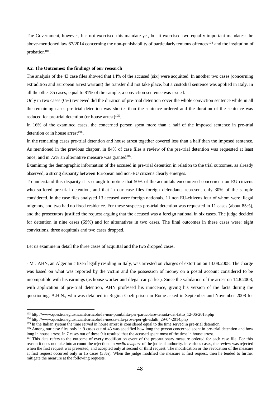The Government, however, has not exercised this mandate yet, but it exercised two equally important mandates: the above-mentioned law  $67/2014$  concerning the non-punishability of particularly tenuous offences<sup>103</sup> and the institution of probation $104$ .

#### **9.2. The Outcomes: the findings of our research**

The analysis of the 43 case files showed that 14% of the accused (six) were acquitted. In another two cases (concerning extradition and European arrest warrant) the transfer did not take place, but a custodial sentence was applied in Italy. In all the other 35 cases, equal to 81% of the sample, a conviction sentence was issued.

Only in two cases (6%) reviewed did the duration of pre-trial detention cover the whole conviction sentence while in all the remaining cases pre-trial detention was shorter than the sentence ordered and the duration of the sentence was reduced for pre-trial detention (or house arrest) $105$ .

In 16% of the examined cases, the concerned person spent more than a half of the imposed sentence in pre-trial detention or in house arrest $106$ .

In the remaining cases pre-trial detention and house arrest together covered less than a half than the imposed sentence. As mentioned in the previous chapter, in 84% of case files a review of the pre-trial detention was requested at least once, and in 72% an alternative measure was granted $107$ .

Examining the demographic information of the accused in pre-trial detention in relation to the trial outcomes, as already observed, a strong disparity between European and non-EU citizens clearly emerges.

To understand this disparity it is enough to notice that 50% of the acquittals encountered concerned non-EU citizens who suffered pre-trial detention, and that in our case files foreign defendants represent only 30% of the sample considered. In the case files analysed 13 accused were foreign nationals, 11 non EU-citizens four of whom were illegal migrants, and two had no fixed residence. For these suspects pre-trial detention was requested in 11 cases (about 85%), and the prosecutors justified the request arguing that the accused was a foreign national in six cases. The judge decided for detention in nine cases (69%) and for alternatives in two cases. The final outcomes in these cases were: eight convictions, three acquittals and two cases dropped.

Let us examine in detail the three cases of acquittal and the two dropped cases.

- Mr. AHN, an Algerian citizen legally residing in Italy, was arrested on charges of extortion on 13.08.2008. The charge was based on what was reported by the victim and the possession of money on a postal account considered to be incompatible with his earnings (as house worker and illegal car parker). Since the validation of the arrest on 14.8.2008, with application of pre-trial detention, AHN professed his innocence, giving his version of the facts during the questioning. A.H.N., who was detained in Regina Coeli prison in Rome asked in September and November 2008 for

<sup>103</sup> http://www.questionegiustizia.it/articolo/la-non-punibilita-per-particolare-tenuita-del-fatto\_12-06-2015.php

<sup>104</sup> http://www.questionegiustizia.it/articolo/la-messa-alla-prova-per-gli-adulti\_29-04-2014.php

<sup>&</sup>lt;sup>105</sup> In the Italian system the time served in house arrest is considered equal to the time served in pre-trial detention.

<sup>&</sup>lt;sup>106</sup> Among our case files only in 9 cases out of 43 was specified how long the person concerned spent in pre-trial detention and how long in house arrest. In 7 cases out of these 9 it resulted that the accused spent most of the time in house arrest.

 $107$  This data refers to the outcome of every modification event of the precautionary measure ordered for each case file. For this reason it does not take into account the rejections in *medio tempore* of the judicial authority. In various cases, the review was rejected when the first request was presented, and accepted only at second or third request. The modification or the revocation of the measure at first request occurred only in 15 cases (35%). When the judge modified the measure at first request, then he tended to further mitigate the measure at the following requests.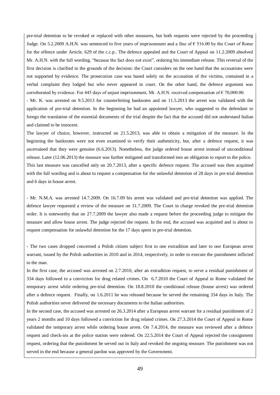pre-trial detention to be revoked or replaced with other measures, but both requests were rejected by the proceeding Judge. On 5.2.2009 A.H.N. was sentenced to five years of imprisonment and a fine of € 516.00 by the Court of Rome for the offence under Article. 629 of the c.c.p.. The defence appealed and the Court of Appeal on 11.2.2009 absolved Mr. A.H.N. with the full wording, "because the fact does not exist", ordering his immediate release. This reversal of the first decision is clarified in the grounds of the decision: the Court considers on the one hand that the accusations were not supported by evidence. The prosecution case was based solely on the accusation of the victims, contained in a verbal complaint they lodged but who never appeared in court. On the other hand, the defence argument was corroborated by evidence. For 445 days of unjust imprisonment, Mr. A.H.N. received compensation of  $\epsilon$  70,000.00.

- Mr. K. was arrested on 9.5.2013 for counterfeiting banknotes and on 11.5.2013 the arrest was validated with the application of pre-trial detention. In the beginning he had an appointed lawyer, who suggested to the defendant to forego the translation of the essential documents of the trial despite the fact that the accused did not understand Italian and claimed to be innocent.

The lawyer of choice, however, instructed on 21.5.2013, was able to obtain a mitigation of the measure. In the beginning the banknotes were not even examined to verify their authenticity, but, after a defence request, it was ascertained that they were genuine (6.6.2013). Nonetheless, the judge ordered house arrest instead of unconditional release. Later (12.06.2013) the measure was further mitigated and transformed into an obligation to report to the police. This last measure was cancelled only on 20.7.2013, after a specific defence request. The accused was then acquitted with the full wording and is about to request a compensation for the unlawful detention of 28 days in pre-trial detention and 6 days in house arrest.

- Mr. N.M.A. was arrested 14.7.2009. On 16.7.09 his arrest was validated and pre-trial detention was applied. The defence lawyer requested a review of the measure on 31.7.2009. The Court in charge revoked the pre-trial detention order. It is noteworthy that on 27.7.2009 the lawyer also made a request before the proceeding judge to mitigate the measure and allow house arrest. The judge rejected the request. In the end, the accused was acquitted and is about to request compensation for unlawful detention for the 17 days spent in pre-trial detention.

- The two cases dropped concerned a Polish citizen subject first to one extradition and later to one European arrest warrant, issued by the Polish authorities in 2010 and in 2014, respectively, in order to execute the punishment inflicted to the man.

In the first case, the accused was arrested on 2.7.2010, after an extradition request, to serve a residual punishment of 334 days followed to a conviction for drug related crimes. On 6.7.2010 the Court of Appeal in Rome validated the temporary arrest while ordering pre-trial detention. On 18.8.2010 the conditional release (house arrest) was ordered after a defence request. Finally, on 1.6.2011 he was released because he served the remaining 334 days in Italy. The Polish authorities never delivered the necessary documents to the Italian authorities.

In the second case, the accused was arrested on 26.3.2014 after a European arrest warrant for a residual punishment of 2 years 2 months and 10 days followed a conviction for drug related crimes. On 27.3.2014 the Court of Appeal in Rome validated the temporary arrest while ordering house arrest. On 7.4.2014, the measure was reviewed after a defence request and check-ins at the police station were ordered. On 22.5.2014 the Court of Appeal rejected the consignment request, ordering that the punishment be served out in Italy and revoked the ongoing measure. The punishment was not served in the end because a general pardon was approved by the Government.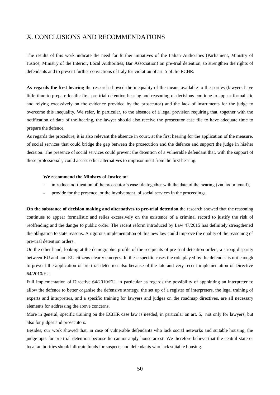## X. CONCLUSIONS AND RECOMMENDATIONS

The results of this work indicate the need for further initiatives of the Italian Authorities (Parliament, Ministry of Justice, Ministry of the Interior, Local Authorities, Bar Association) on pre-trial detention, to strengthen the rights of defendants and to prevent further convictions of Italy for violation of art. 5 of the ECHR.

**As regards the first hearing** the research showed the inequality of the means available to the parties (lawyers have little time to prepare for the first pre-trial detention hearing and reasoning of decisions continue to appear formalistic and relying excessively on the evidence provided by the prosecutor) and the lack of instruments for the judge to overcome this inequality. We refer, in particular, to the absence of a legal prevision requiring that, together with the notification of date of the hearing, the lawyer should also receive the prosecutor case file to have adequate time to prepare the defence.

As regards the procedure, it is also relevant the absence in court, at the first hearing for the application of the measure, of social services that could bridge the gap between the prosecution and the defence and support the judge in his/her decision. The presence of social services could prevent the detention of a vulnerable defendant that, with the support of these professionals, could access other alternatives to imprisonment from the first hearing.

## **We recommend the Ministry of Justice to:**

- introduce notification of the prosecutor's case file together with the date of the hearing (via fax or email);
- provide for the presence, or the involvement, of social services in the proceedings.

**On the substance of decision making and alternatives to pre-trial detention** the research showed that the reasoning continues to appear formalistic and relies excessively on the existence of a criminal record to justify the risk of reoffending and the danger to public order. The recent reform introduced by Law 47/2015 has definitely strengthened the obligation to state reasons. A rigorous implementation of this new law could improve the quality of the reasoning of pre-trial detention orders.

On the other hand, looking at the demographic profile of the recipients of pre-trial detention orders, a strong disparity between EU and non-EU citizens clearly emerges. In these specific cases the role played by the defender is not enough to prevent the application of pre-trial detention also because of the late and very recent implementation of Directive 64/2010/EU.

Full implementation of Directive 64/2010/EU, in particular as regards the possibility of appointing an interpreter to allow the defence to better organise the defensive strategy, the set up of a register of interpreters, the legal training of experts and interpreters, and a specific training for lawyers and judges on the roadmap directives, are all necessary elements for addressing the above concerns.

More in general, specific training on the ECtHR case law is needed, in particular on art. 5, not only for lawyers, but also for judges and prosecutors.

Besides, our work showed that, in case of vulnerable defendants who lack social networks and suitable housing, the judge opts for pre-trial detention because he cannot apply house arrest. We therefore believe that the central state or local authorities should allocate funds for suspects and defendants who lack suitable housing.